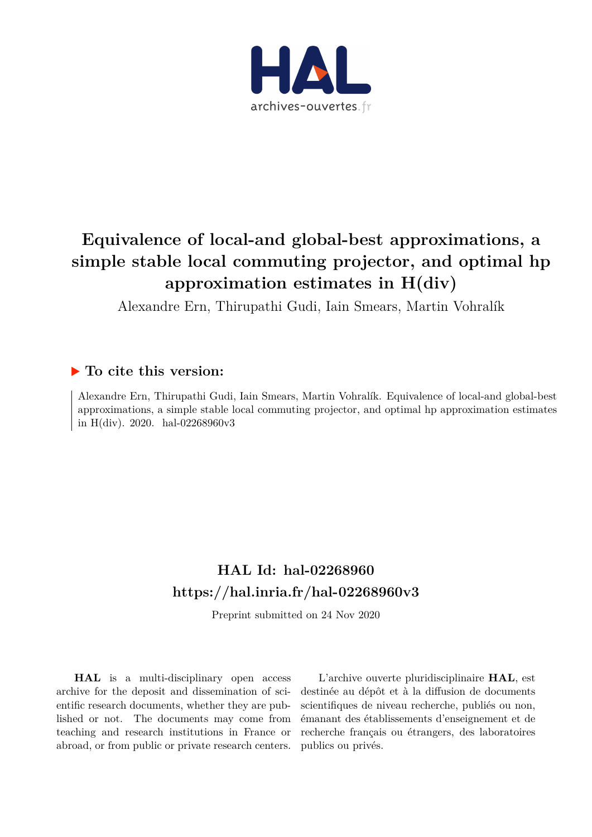

# **Equivalence of local-and global-best approximations, a simple stable local commuting projector, and optimal hp approximation estimates in H(div)**

Alexandre Ern, Thirupathi Gudi, Iain Smears, Martin Vohralík

## **To cite this version:**

Alexandre Ern, Thirupathi Gudi, Iain Smears, Martin Vohralík. Equivalence of local-and global-best approximations, a simple stable local commuting projector, and optimal hp approximation estimates in H(div). 2020. hal-02268960v3

## **HAL Id: hal-02268960 <https://hal.inria.fr/hal-02268960v3>**

Preprint submitted on 24 Nov 2020

**HAL** is a multi-disciplinary open access archive for the deposit and dissemination of scientific research documents, whether they are published or not. The documents may come from teaching and research institutions in France or abroad, or from public or private research centers.

L'archive ouverte pluridisciplinaire **HAL**, est destinée au dépôt et à la diffusion de documents scientifiques de niveau recherche, publiés ou non, émanant des établissements d'enseignement et de recherche français ou étrangers, des laboratoires publics ou privés.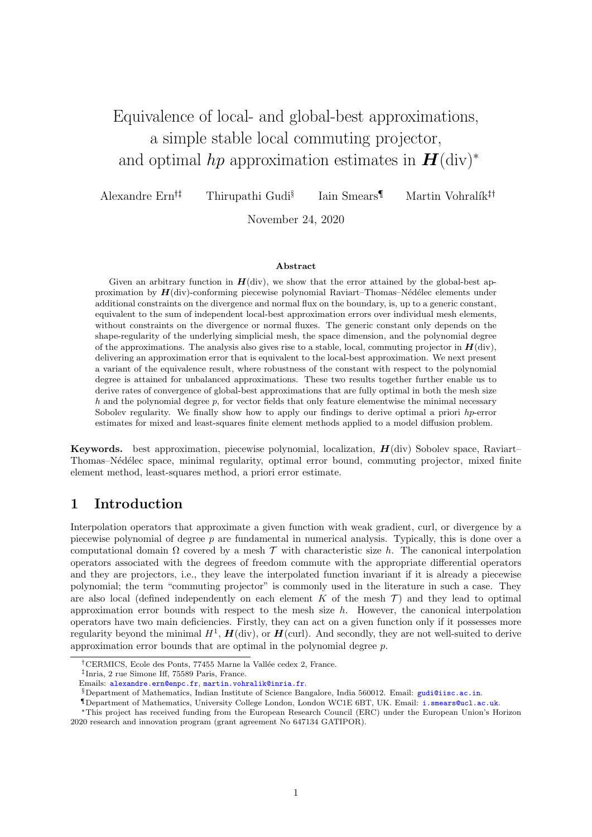# Equivalence of local- and global-best approximations, a simple stable local commuting projector, and optimal hp approximation estimates in  $\mathbf{H}(\text{div})^*$

Alexandre  $\text{Err}^{\dagger}$  Thirupathi Gudi<sup>§</sup> Iain Smears<br/> $\P$  Martin Vohralík $^{\ddagger\uparrow}$ 

November 24, 2020

#### Abstract

Given an arbitrary function in  $H(\text{div})$ , we show that the error attained by the global-best approximation by  $H(\text{div})$ -conforming piecewise polynomial Raviart–Thomas–Nédélec elements under additional constraints on the divergence and normal flux on the boundary, is, up to a generic constant, equivalent to the sum of independent local-best approximation errors over individual mesh elements, without constraints on the divergence or normal fluxes. The generic constant only depends on the shape-regularity of the underlying simplicial mesh, the space dimension, and the polynomial degree of the approximations. The analysis also gives rise to a stable, local, commuting projector in  $H(\text{div})$ , delivering an approximation error that is equivalent to the local-best approximation. We next present a variant of the equivalence result, where robustness of the constant with respect to the polynomial degree is attained for unbalanced approximations. These two results together further enable us to derive rates of convergence of global-best approximations that are fully optimal in both the mesh size  $h$  and the polynomial degree  $p$ , for vector fields that only feature elementwise the minimal necessary Sobolev regularity. We finally show how to apply our findings to derive optimal a priori hp-error estimates for mixed and least-squares finite element methods applied to a model diffusion problem.

**Keywords.** best approximation, piecewise polynomial, localization,  $H(\text{div})$  Sobolev space, Raviart– Thomas–N´ed´elec space, minimal regularity, optimal error bound, commuting projector, mixed finite element method, least-squares method, a priori error estimate.

### <span id="page-1-0"></span>1 Introduction

Interpolation operators that approximate a given function with weak gradient, curl, or divergence by a piecewise polynomial of degree p are fundamental in numerical analysis. Typically, this is done over a computational domain  $\Omega$  covered by a mesh  $\mathcal T$  with characteristic size h. The canonical interpolation operators associated with the degrees of freedom commute with the appropriate differential operators and they are projectors, i.e., they leave the interpolated function invariant if it is already a piecewise polynomial; the term "commuting projector" is commonly used in the literature in such a case. They are also local (defined independently on each element  $K$  of the mesh  $\mathcal T$ ) and they lead to optimal approximation error bounds with respect to the mesh size  $h$ . However, the canonical interpolation operators have two main deficiencies. Firstly, they can act on a given function only if it possesses more regularity beyond the minimal  $H^1$ ,  $H(\text{div})$ , or  $H(\text{curl})$ . And secondly, they are not well-suited to derive approximation error bounds that are optimal in the polynomial degree p.

<sup>&</sup>lt;sup>†</sup>CERMICS, Ecole des Ponts, 77455 Marne la Vallée cedex 2, France.

Inria, 2 rue Simone Iff, 75589 Paris, France.

Emails: [alexandre.ern@enpc.fr](mailto:alexandre.ern@enpc.fr), [martin.vohralik@inria.fr](mailto:martin.vohralik@inria.fr).

<sup>§</sup>Department of Mathematics, Indian Institute of Science Bangalore, India 560012. Email: [gudi@iisc.ac.in](mailto:gudi@iisc.ac.in).

<sup>¶</sup>Department of Mathematics, University College London, London WC1E 6BT, UK. Email: [i.smears@ucl.ac.uk](mailto:i.smears@ucl.ac.uk).

<sup>\*</sup>This project has received funding from the European Research Council (ERC) under the European Union's Horizon 2020 research and innovation program (grant agreement No 647134 GATIPOR).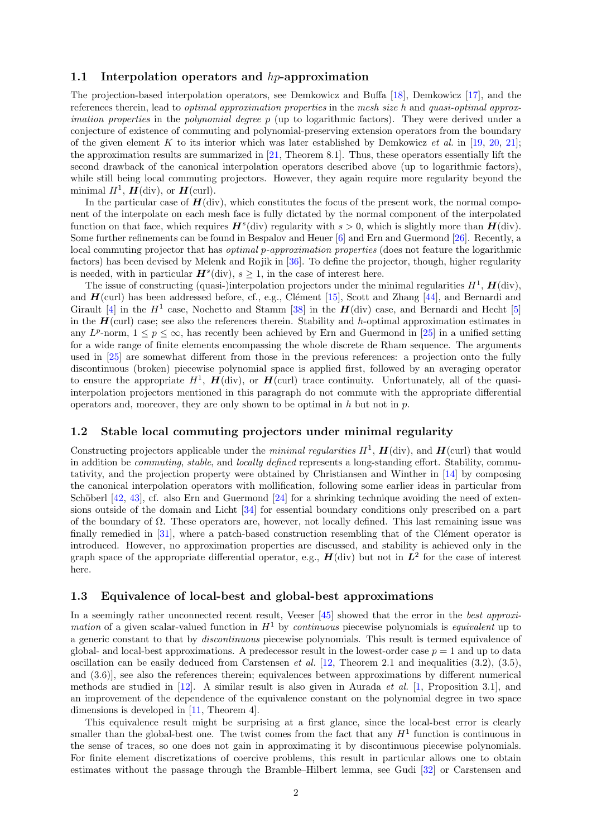#### 1.1 Interpolation operators and  $hp$ -approximation

The projection-based interpolation operators, see Demkowicz and Buffa [\[18\]](#page-19-0), Demkowicz [\[17\]](#page-19-1), and the references therein, lead to optimal approximation properties in the mesh size h and quasi-optimal approx*imation properties* in the *polynomial degree p* (up to logarithmic factors). They were derived under a conjecture of existence of commuting and polynomial-preserving extension operators from the boundary of the given element K to its interior which was later established by Demkowicz et al. in [\[19,](#page-19-2) [20,](#page-20-0) [21\]](#page-20-1); the approximation results are summarized in [\[21,](#page-20-1) Theorem 8.1]. Thus, these operators essentially lift the second drawback of the canonical interpolation operators described above (up to logarithmic factors), while still being local commuting projectors. However, they again require more regularity beyond the minimal  $H^1$ ,  $\mathbf{H}$ (div), or  $\mathbf{H}$ (curl).

In the particular case of  $H(\text{div})$ , which constitutes the focus of the present work, the normal component of the interpolate on each mesh face is fully dictated by the normal component of the interpolated function on that face, which requires  $H^s$ (div) regularity with  $s > 0$ , which is slightly more than  $H$ (div). Some further refinements can be found in Bespalov and Heuer [\[6\]](#page-19-3) and Ern and Guermond [\[26\]](#page-20-2). Recently, a local commuting projector that has *optimal p-approximation properties* (does not feature the logarithmic factors) has been devised by Melenk and Rojik in [\[36\]](#page-20-3). To define the projector, though, higher regularity is needed, with in particular  $\mathbf{H}^s(\text{div})$ ,  $s \geq 1$ , in the case of interest here.

The issue of constructing (quasi-)interpolation projectors under the minimal regularities  $H^1$ ,  $H(\text{div})$ , and  $H$ (curl) has been addressed before, cf., e.g., Clément [\[15\]](#page-19-4), Scott and Zhang [\[44\]](#page-21-0), and Bernardi and Girault [\[4\]](#page-19-5) in the  $H^1$  case, Nochetto and Stamm [\[38\]](#page-20-4) in the  $H(\text{div})$  case, and Bernardi and Hecht [\[5\]](#page-19-6) in the  $H$ (curl) case; see also the references therein. Stability and h-optimal approximation estimates in any  $L^p$ -norm,  $1 \leq p \leq \infty$ , has recently been achieved by Ern and Guermond in [\[25\]](#page-20-5) in a unified setting for a wide range of finite elements encompassing the whole discrete de Rham sequence. The arguments used in [\[25\]](#page-20-5) are somewhat different from those in the previous references: a projection onto the fully discontinuous (broken) piecewise polynomial space is applied first, followed by an averaging operator to ensure the appropriate  $H^1$ ,  $H(\text{div})$ , or  $H(\text{curl})$  trace continuity. Unfortunately, all of the quasiinterpolation projectors mentioned in this paragraph do not commute with the appropriate differential operators and, moreover, they are only shown to be optimal in  $h$  but not in  $p$ .

### 1.2 Stable local commuting projectors under minimal regularity

Constructing projectors applicable under the *minimal regularities*  $H^1$ ,  $H$ (div), and  $H$ (curl) that would in addition be *commuting, stable,* and *locally defined* represents a long-standing effort. Stability, commutativity, and the projection property were obtained by Christiansen and Winther in [\[14\]](#page-19-7) by composing the canonical interpolation operators with mollification, following some earlier ideas in particular from Schöberl  $[42, 43]$  $[42, 43]$ , cf. also Ern and Guermond  $[24]$  for a shrinking technique avoiding the need of extensions outside of the domain and Licht [\[34\]](#page-20-7) for essential boundary conditions only prescribed on a part of the boundary of  $\Omega$ . These operators are, however, not locally defined. This last remaining issue was finally remedied in  $[31]$ , where a patch-based construction resembling that of the Clément operator is introduced. However, no approximation properties are discussed, and stability is achieved only in the graph space of the appropriate differential operator, e.g.,  $H(\text{div})$  but not in  $L^2$  for the case of interest here.

#### 1.3 Equivalence of local-best and global-best approximations

In a seemingly rather unconnected recent result, Veeser [\[45\]](#page-21-3) showed that the error in the best approximation of a given scalar-valued function in  $H<sup>1</sup>$  by *continuous* piecewise polynomials is *equivalent* up to a generic constant to that by discontinuous piecewise polynomials. This result is termed equivalence of global- and local-best approximations. A predecessor result in the lowest-order case  $p = 1$  and up to data oscillation can be easily deduced from Carstensen *et al.* [\[12,](#page-19-8) Theorem 2.1 and inequalities  $(3.2)$ ,  $(3.5)$ , and (3.6)], see also the references therein; equivalences between approximations by different numerical methods are studied in  $[12]$ . A similar result is also given in Aurada *et al.* [\[1,](#page-19-9) Proposition 3.1], and an improvement of the dependence of the equivalence constant on the polynomial degree in two space dimensions is developed in [\[11,](#page-19-10) Theorem 4].

This equivalence result might be surprising at a first glance, since the local-best error is clearly smaller than the global-best one. The twist comes from the fact that any  $H<sup>1</sup>$  function is continuous in the sense of traces, so one does not gain in approximating it by discontinuous piecewise polynomials. For finite element discretizations of coercive problems, this result in particular allows one to obtain estimates without the passage through the Bramble–Hilbert lemma, see Gudi [\[32\]](#page-20-9) or Carstensen and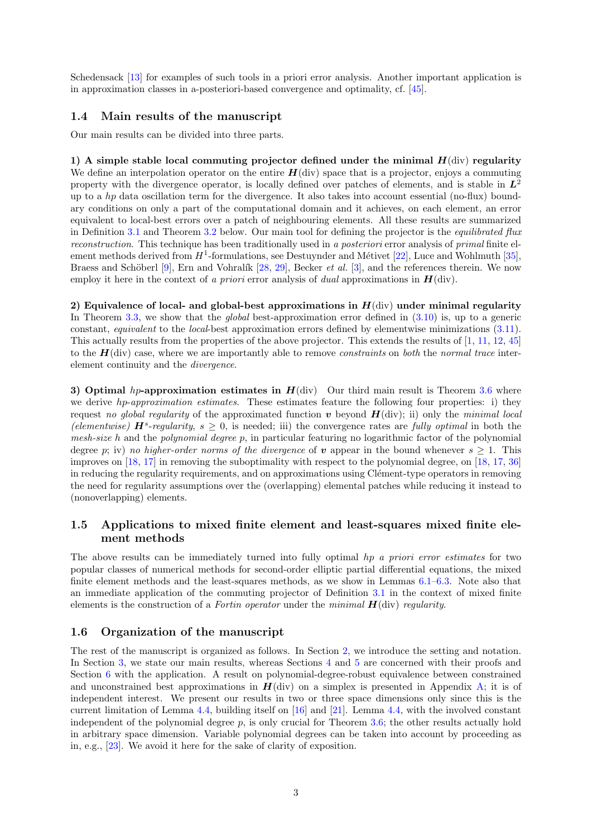Schedensack [\[13\]](#page-19-11) for examples of such tools in a priori error analysis. Another important application is in approximation classes in a-posteriori-based convergence and optimality, cf. [\[45\]](#page-21-3).

#### 1.4 Main results of the manuscript

Our main results can be divided into three parts.

1) A simple stable local commuting projector defined under the minimal  $H(\text{div})$  regularity We define an interpolation operator on the entire  $H(\text{div})$  space that is a projector, enjoys a commuting property with the divergence operator, is locally defined over patches of elements, and is stable in  $L^2$ up to a  $hp$  data oscillation term for the divergence. It also takes into account essential (no-flux) boundary conditions on only a part of the computational domain and it achieves, on each element, an error equivalent to local-best errors over a patch of neighbouring elements. All these results are summarized in Definition [3.1](#page-5-0) and Theorem [3.2](#page-6-0) below. Our main tool for defining the projector is the *equilibrated flux* reconstruction. This technique has been traditionally used in a posteriori error analysis of primal finite element methods derived from  $H^1$ -formulations, see Destuynder and Métivet [\[22\]](#page-20-10), Luce and Wohlmuth [\[35\]](#page-20-11), Braess and Schöberl [\[9\]](#page-19-12), Ern and Vohralík [\[28,](#page-20-12) [29\]](#page-20-13), Becker *et al.* [\[3\]](#page-19-13), and the references therein. We now employ it here in the context of a priori error analysis of dual approximations in  $H(\text{div})$ .

2) Equivalence of local- and global-best approximations in  $H(\text{div})$  under minimal regularity In Theorem [3.3,](#page-7-0) we show that the *global* best-approximation error defined in  $(3.10)$  is, up to a generic constant, equivalent to the local-best approximation errors defined by elementwise minimizations [\(3.11\)](#page-7-2). This actually results from the properties of the above projector. This extends the results of [\[1,](#page-19-9) [11,](#page-19-10) [12,](#page-19-8) [45\]](#page-21-3) to the  $H$ (div) case, where we are importantly able to remove *constraints* on *both* the *normal trace* interelement continuity and the divergence.

3) Optimal hp-approximation estimates in  $H$ (div) Our third main result is Theorem [3.6](#page-8-0) where we derive hp-approximation estimates. These estimates feature the following four properties: i) they request no global regularity of the approximated function v beyond  $H(\text{div})$ ; ii) only the minimal local (elementwise)  $\mathbf{H}^s$ -regularity,  $s \geq 0$ , is needed; iii) the convergence rates are fully optimal in both the mesh-size h and the polynomial degree  $p$ , in particular featuring no logarithmic factor of the polynomial degree p; iv) no higher-order norms of the divergence of v appear in the bound whenever  $s \geq 1$ . This improves on [\[18,](#page-19-0) [17\]](#page-19-1) in removing the suboptimality with respect to the polynomial degree, on [\[18,](#page-19-0) [17,](#page-19-1) [36\]](#page-20-3) in reducing the regularity requirements, and on approximations using Clément-type operators in removing the need for regularity assumptions over the (overlapping) elemental patches while reducing it instead to (nonoverlapping) elements.

### 1.5 Applications to mixed finite element and least-squares mixed finite element methods

The above results can be immediately turned into fully optimal hp a priori error estimates for two popular classes of numerical methods for second-order elliptic partial differential equations, the mixed finite element methods and the least-squares methods, as we show in Lemmas [6.1–](#page-15-0)[6.3.](#page-17-0) Note also that an immediate application of the commuting projector of Definition [3.1](#page-5-0) in the context of mixed finite elements is the construction of a Fortin operator under the minimal  $H(\text{div})$  regularity.

#### 1.6 Organization of the manuscript

The rest of the manuscript is organized as follows. In Section [2,](#page-4-0) we introduce the setting and notation. In Section [3,](#page-5-1) we state our main results, whereas Sections [4](#page-8-1) and [5](#page-12-0) are concerned with their proofs and Section [6](#page-15-1) with the application. A result on polynomial-degree-robust equivalence between constrained and unconstrained best approximations in  $H(\text{div})$  on a simplex is presented in Appendix [A;](#page-18-0) it is of independent interest. We present our results in two or three space dimensions only since this is the current limitation of Lemma [4.4,](#page-9-0) building itself on [\[16\]](#page-19-14) and [\[21\]](#page-20-1). Lemma [4.4,](#page-9-0) with the involved constant independent of the polynomial degree  $p$ , is only crucial for Theorem [3.6;](#page-8-0) the other results actually hold in arbitrary space dimension. Variable polynomial degrees can be taken into account by proceeding as in, e.g., [\[23\]](#page-20-14). We avoid it here for the sake of clarity of exposition.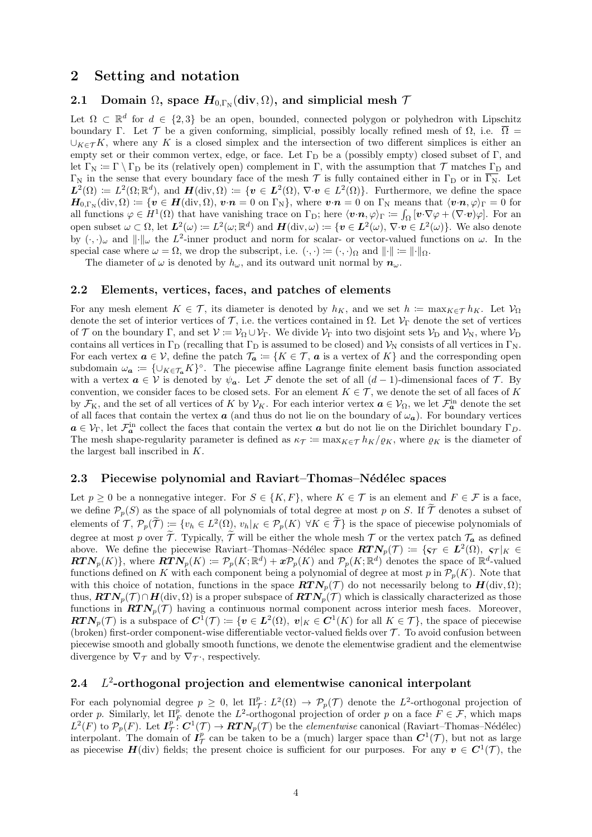### <span id="page-4-0"></span>2 Setting and notation

### 2.1 Domain  $\Omega$ , space  $H_{0,\Gamma_{\rm N}}(\mathrm{div}, \Omega)$ , and simplicial mesh  $\mathcal I$

Let  $\Omega \subset \mathbb{R}^d$  for  $d \in \{2,3\}$  be an open, bounded, connected polygon or polyhedron with Lipschitz boundary Γ. Let T be a given conforming, simplicial, possibly locally refined mesh of  $\Omega$ , i.e.  $\overline{\Omega}$  =  $\cup_{K\in\mathcal{T}} K$ , where any K is a closed simplex and the intersection of two different simplices is either an empty set or their common vertex, edge, or face. Let  $\Gamma_D$  be a (possibly empty) closed subset of  $\Gamma$ , and let  $\Gamma_N := \Gamma \setminus \Gamma_D$  be its (relatively open) complement in Γ, with the assumption that  $\mathcal T$  matches  $\Gamma_D$  and  $\Gamma_N$  in the sense that every boundary face of the mesh  $\mathcal T$  is fully contained either in  $\Gamma_D$  or in  $\overline{\Gamma_N}$ . Let  $L^2(\Omega) \coloneqq L^2(\Omega;\mathbb{R}^d)$ , and  $H(\text{div},\Omega) \coloneqq \{v \in L^2(\Omega), \nabla \cdot v \in L^2(\Omega) \}$ . Furthermore, we define the space  $\boldsymbol{H}_{0,\Gamma_{\rm N}}(\mathrm{div},\Omega) \coloneqq \{\boldsymbol{v}\in \boldsymbol{H}(\mathrm{div},\Omega),\,\boldsymbol{v}\!\cdot\!\boldsymbol{n}=0\,\,\text{on}\,\,\Gamma_{\rm N}\},\,\text{where}\,\, \boldsymbol{v}\!\cdot\!\boldsymbol{n}=0\,\,\text{on}\,\,\Gamma_{\rm N}\,\,\text{means that}\,\,\langle \boldsymbol{v}\!\cdot\!\boldsymbol{n},\varphi\rangle_{\Gamma}=0\,\,\text{for}\,\,\,\Gamma_{\rm N}\,\,\text{in}\,\,\Gamma_{\rm N}\,,$ all functions  $\varphi \in H^1(\Omega)$  that have vanishing trace on  $\Gamma_{\mathcal{D}}$ ; here  $\langle v \cdot n, \varphi \rangle_{\Gamma} := \int_{\Omega} [v \cdot \nabla \varphi + (\nabla \cdot v) \varphi]$ . For an open subset  $\omega \subset \Omega$ , let  $L^2(\omega) \coloneqq L^2(\omega; \mathbb{R}^d)$  and  $\boldsymbol{H}(\text{div}, \omega) \coloneqq \{ \boldsymbol{v} \in L^2(\omega), \nabla \cdot \boldsymbol{v} \in L^2(\omega) \}.$  We also denote by  $(\cdot, \cdot)_{\omega}$  and  $\|\cdot\|_{\omega}$  the  $L^2$ -inner product and norm for scalar- or vector-valued functions on  $\omega$ . In the special case where  $\omega = \Omega$ , we drop the subscript, i.e.  $(\cdot, \cdot) := (\cdot, \cdot)_{\Omega}$  and  $\|\cdot\| := \|\cdot\|_{\Omega}$ .

The diameter of  $\omega$  is denoted by  $h_{\omega}$ , and its outward unit normal by  $n_{\omega}$ .

#### <span id="page-4-1"></span>2.2 Elements, vertices, faces, and patches of elements

For any mesh element  $K \in \mathcal{T}$ , its diameter is denoted by  $h_K$ , and we set  $h := \max_{K \in \mathcal{T}} h_K$ . Let  $\mathcal{V}_{\Omega}$ denote the set of interior vertices of  $\mathcal{T}$ , i.e. the vertices contained in  $\Omega$ . Let  $\mathcal{V}_{\Gamma}$  denote the set of vertices of T on the boundary Γ, and set  $\mathcal{V} := \mathcal{V}_{\Omega} \cup \mathcal{V}_{\Gamma}$ . We divide  $\mathcal{V}_{\Gamma}$  into two disjoint sets  $\mathcal{V}_{\Gamma}$  and  $\mathcal{V}_{N}$ , where  $\mathcal{V}_{\Gamma}$ contains all vertices in  $\Gamma_D$  (recalling that  $\Gamma_D$  is assumed to be closed) and  $V_N$  consists of all vertices in  $\Gamma_N$ . For each vertex  $a \in V$ , define the patch  $\mathcal{T}_a := \{K \in \mathcal{T}, a \text{ is a vertex of } K\}$  and the corresponding open subdomain  $\omega_a := \{ \cup_{K \in \mathcal{T}_a} K \}^{\circ}$ . The piecewise affine Lagrange finite element basis function associated with a vertex  $a \in V$  is denoted by  $\psi_a$ . Let F denote the set of all  $(d-1)$ -dimensional faces of T. By convention, we consider faces to be closed sets. For an element  $K \in \mathcal{T}$ , we denote the set of all faces of K by  $\mathcal{F}_K$ , and the set of all vertices of K by  $\mathcal{V}_K$ . For each interior vertex  $a \in \mathcal{V}_\Omega$ , we let  $\mathcal{F}_a^{\text{in}}$  denote the set of all faces that contain the vertex  $\boldsymbol{a}$  (and thus do not lie on the boundary of  $\omega_{\boldsymbol{a}}$ ). For boundary vertices  $a \in V_{\Gamma}$ , let  $\mathcal{F}_a^{\text{in}}$  collect the faces that contain the vertex  $a$  but do not lie on the Dirichlet boundary  $\Gamma_D$ . The mesh shape-regularity parameter is defined as  $\kappa_{\mathcal{T}} := \max_{K \in \mathcal{T}} h_K / \varrho_K$ , where  $\varrho_K$  is the diameter of the largest ball inscribed in K.

#### 2.3 Piecewise polynomial and Raviart–Thomas–Nédélec spaces

Let  $p \ge 0$  be a nonnegative integer. For  $S \in \{K, F\}$ , where  $K \in \mathcal{T}$  is an element and  $F \in \mathcal{F}$  is a face, we define  $\mathcal{P}_p(S)$  as the space of all polynomials of total degree at most p on S. If  $\widetilde{\mathcal{T}}$  denotes a subset of elements of  $\mathcal{T}, \mathcal{P}_p(\tilde{\mathcal{T}}) := \{v_h \in L^2(\Omega), v_h|_K \in \mathcal{P}_p(K) \,\,\forall K \in \tilde{\mathcal{T}}\}$  is the space of piecewise polynomials of degree at most p over  $\tilde{\mathcal{T}}$ . Typically,  $\tilde{\mathcal{T}}$  will be either the whole mesh  $\mathcal{T}$  or the vertex patch  $\mathcal{T}_a$  as defined above. We define the piecewise Raviart–Thomas–Nédélec space  $\overline{RTN}_p(\mathcal{T}) \coloneqq \{ \varsigma_{\mathcal{T}} \in L^2(\Omega), \ \varsigma_{\mathcal{T}} |_{K} \in$  $\pmb{RTN}_p(K)$ , where  $\pmb{RTN}_p(K) \coloneqq \mathcal{P}_p(K;\mathbb{R}^d) + \pmb{x} \mathcal{P}_p(K)$  and  $\mathcal{P}_p(K;\mathbb{R}^d)$  denotes the space of  $\mathbb{R}^d$ -valued functions defined on K with each component being a polynomial of degree at most p in  $\mathcal{P}_p(K)$ . Note that with this choice of notation, functions in the space  $\mathbf{RTN}_p(\mathcal{T})$  do not necessarily belong to  $\mathbf{H}(\text{div}, \Omega)$ ; thus,  $\mathbf{RTN}_p(\mathcal{T}) \cap \mathbf{H}(\text{div}, \Omega)$  is a proper subspace of  $\mathbf{RTN}_p(\mathcal{T})$  which is classically characterized as those functions in  $\mathbf{RTN}_p(\mathcal{T})$  having a continuous normal component across interior mesh faces. Moreover,  $\pmb{RTN}_p(\mathcal{T})$  is a subspace of  $\pmb{C}^1(\mathcal{T}) \coloneqq \{ \pmb{v} \in \pmb{L}^2(\Omega), \pmb{v}|_K \in \pmb{C}^1(K) \text{ for all } K \in \mathcal{T} \},\$  the space of piecewise (broken) first-order component-wise differentiable vector-valued fields over  $\mathcal T$ . To avoid confusion between piecewise smooth and globally smooth functions, we denote the elementwise gradient and the elementwise divergence by  $\nabla_{\mathcal{T}}$  and by  $\nabla_{\mathcal{T}}$ ; respectively.

#### $2.4$ <sup>2</sup>-orthogonal projection and elementwise canonical interpolant

For each polynomial degree  $p \geq 0$ , let  $\Pi^p_{\mathcal{T}}: L^2(\Omega) \to \mathcal{P}_p(\mathcal{T})$  denote the  $L^2$ -orthogonal projection of order p. Similarly, let  $\Pi_F^{\bar{p}}$  denote the  $L^2$ -orthogonal projection of order p on a face  $F \in \mathcal{F}$ , which maps  $L^2(F)$  to  $\mathcal{P}_p(F)$ . Let  $I^p_\mathcal{T}: C^1(\mathcal{T}) \to \mathbf{R} \mathbf{T} \mathbf{N}_p(\mathcal{T})$  be the *elementwise* canonical (Raviart–Thomas–Nédélec) interpolant. The domain of  $I^p_\mathcal{T}$  can be taken to be a (much) larger space than  $C^1(\mathcal{T})$ , but not as large as piecewise  $H(\text{div})$  fields; the present choice is sufficient for our purposes. For any  $v \in C^1(\mathcal{T})$ , the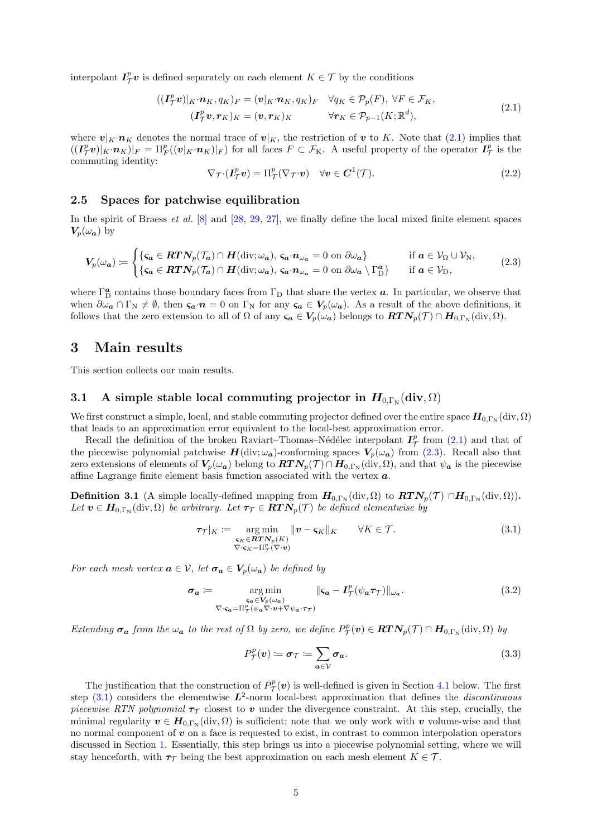interpolant  $I^p_{\mathcal{T}}v$  is defined separately on each element  $K \in \mathcal{T}$  by the conditions

<span id="page-5-2"></span>
$$
((\mathbf{I}_{\mathcal{T}}^p \mathbf{v})|_K \cdot \mathbf{n}_K, q_K)_F = (\mathbf{v}|_K \cdot \mathbf{n}_K, q_K)_F \quad \forall q_K \in \mathcal{P}_p(F), \ \forall F \in \mathcal{F}_K, (\mathbf{I}_{\mathcal{T}}^p \mathbf{v}, \mathbf{r}_K)_K = (\mathbf{v}, \mathbf{r}_K)_K \qquad \forall \mathbf{r}_K \in \mathcal{P}_{p-1}(K; \mathbb{R}^d),
$$
(2.1)

where  $v|_K \cdot n_K$  denotes the normal trace of  $v|_K$ , the restriction of v to K. Note that [\(2.1\)](#page-5-2) implies that  $((\mathbf{I}_{\mathcal{T}}^p \mathbf{v})|_K \cdot \mathbf{n}_K)|_F = \Pi_F^p((\mathbf{v}|_K \cdot \mathbf{n}_K)|_F)$  for all faces  $F \subset \mathcal{F}_K$ . A useful property of the operator  $\mathbf{I}_{\mathcal{T}}^p$  is the commuting identity:

<span id="page-5-7"></span>
$$
\nabla_{\mathcal{T}} \cdot (\mathbf{I}_{\mathcal{T}}^p \mathbf{v}) = \Pi_{\mathcal{T}}^p (\nabla_{\mathcal{T}} \cdot \mathbf{v}) \quad \forall \mathbf{v} \in \mathbf{C}^1(\mathcal{T}). \tag{2.2}
$$

#### 2.5 Spaces for patchwise equilibration

In the spirit of Braess *et al.* [\[8\]](#page-19-15) and [\[28,](#page-20-12) [29,](#page-20-13) [27\]](#page-20-15), we finally define the local mixed finite element spaces  $V_p(\omega_a)$  by

<span id="page-5-3"></span>
$$
V_p(\omega_a) \coloneqq \begin{cases} \{\varsigma_a \in \mathbf{RTN}_p(\mathcal{T}_a) \cap H(\text{div}; \omega_a), \, \varsigma_a \cdot n_{\omega_a} = 0 \text{ on } \partial \omega_a\} & \text{if } a \in \mathcal{V}_\Omega \cup \mathcal{V}_N, \\ \{\varsigma_a \in \mathbf{RTN}_p(\mathcal{T}_a) \cap H(\text{div}; \omega_a), \, \varsigma_a \cdot n_{\omega_a} = 0 \text{ on } \partial \omega_a \setminus \Gamma_D^a\} & \text{if } a \in \mathcal{V}_D, \end{cases} \tag{2.3}
$$

where  $\Gamma_{D}^{a}$  contains those boundary faces from  $\Gamma_{D}$  that share the vertex  $a$ . In particular, we observe that when  $\partial \omega_a \cap \Gamma_N \neq \emptyset$ , then  $\varsigma_a \cdot n = 0$  on  $\Gamma_N$  for any  $\varsigma_a \in V_p(\omega_a)$ . As a result of the above definitions, it follows that the zero extension to all of  $\Omega$  of any  $\zeta_a \in V_p(\omega_a)$  belongs to  $RTN_p(\mathcal{T}) \cap H_{0,\Gamma_N}(\text{div},\Omega)$ .

### <span id="page-5-1"></span>3 Main results

This section collects our main results.

### 3.1 A simple stable local commuting projector in  $\bm{H}_{0,\Gamma_{\rm N}}(\mathrm{div}, \Omega)$

We first construct a simple, local, and stable commuting projector defined over the entire space  $H_{0,\Gamma_N}(\text{div},\Omega)$ that leads to an approximation error equivalent to the local-best approximation error.

Recall the definition of the broken Raviart–Thomas–Nédélec interpolant  $I^p_{\mathcal{T}}$  from [\(2.1\)](#page-5-2) and that of the piecewise polynomial patchwise  $H(\text{div}; \omega_a)$ -conforming spaces  $V_p(\omega_a)$  from [\(2.3\)](#page-5-3). Recall also that zero extensions of elements of  $V_p(\omega_a)$  belong to  $RTN_p(\mathcal{T}) \cap H_{0,\Gamma_N}(\text{div},\Omega)$ , and that  $\psi_a$  is the piecewise affine Lagrange finite element basis function associated with the vertex  $a$ .

<span id="page-5-0"></span>**Definition 3.1** (A simple locally-defined mapping from  $H_{0,\Gamma_N}(\text{div}, \Omega)$  to  $RTN_p(\mathcal{T}) \cap H_{0,\Gamma_N}(\text{div}, \Omega)$ ). Let  $v \in H_{0,\Gamma_{\rm N}}(\text{div}, \Omega)$  be arbitrary. Let  $\tau_{\mathcal{T}} \in RTN_p(\mathcal{T})$  be defined elementwise by

<span id="page-5-4"></span>
$$
\tau_{\mathcal{T}}|_K := \underset{\nabla \cdot \varsigma_K = \Pi_{\mathcal{T}}^p(\nabla \cdot \mathbf{v})}{\operatorname{arg\,min}} \| \mathbf{v} - \varsigma_K \|_K \quad \forall K \in \mathcal{T}.
$$
\n(3.1)

For each mesh vertex  $\mathbf{a} \in \mathcal{V}$ , let  $\sigma_{\mathbf{a}} \in V_p(\omega_{\mathbf{a}})$  be defined by

<span id="page-5-5"></span>
$$
\sigma_{a} := \underset{\nabla \cdot \varsigma_{a} = \Pi_{\mathcal{T}}^{p}(\psi_{a} \nabla \cdot \mathbf{v} + \nabla \psi_{a} \cdot \tau_{\mathcal{T}})}{\operatorname{arg\,min}} \|\varsigma_{a} - \mathbf{I}_{\mathcal{T}}^{p}(\psi_{a} \tau_{\mathcal{T}})\|_{\omega_{a}}.
$$
\n(3.2)

Extending  $\sigma_a$  from the  $\omega_a$  to the rest of  $\Omega$  by zero, we define  $P^p_{\mathcal{T}}(v) \in \mathbf{RTN}_p(\mathcal{T}) \cap \mathbf{H}_{0,\Gamma_N}(\text{div},\Omega)$  by

<span id="page-5-6"></span>
$$
P^p_{\mathcal{T}}(v) := \sigma_{\mathcal{T}} := \sum_{a \in \mathcal{V}} \sigma_a.
$$
\n(3.3)

The justification that the construction of  $P^p_{\mathcal{T}}(v)$  is well-defined is given in Section [4.1](#page-8-2) below. The first step  $(3.1)$  considers the elementwise  $L^2$ -norm local-best approximation that defines the *discontinuous* piecewise RTN polynomial  $\tau$ <sub>T</sub> closest to v under the divergence constraint. At this step, crucially, the minimal regularity  $v \in H_{0,\Gamma_N}(\text{div}, \Omega)$  is sufficient; note that we only work with v volume-wise and that no normal component of  $\boldsymbol{v}$  on a face is requested to exist, in contrast to common interpolation operators discussed in Section [1.](#page-1-0) Essentially, this step brings us into a piecewise polynomial setting, where we will stay henceforth, with  $\tau_T$  being the best approximation on each mesh element  $K \in \mathcal{T}$ .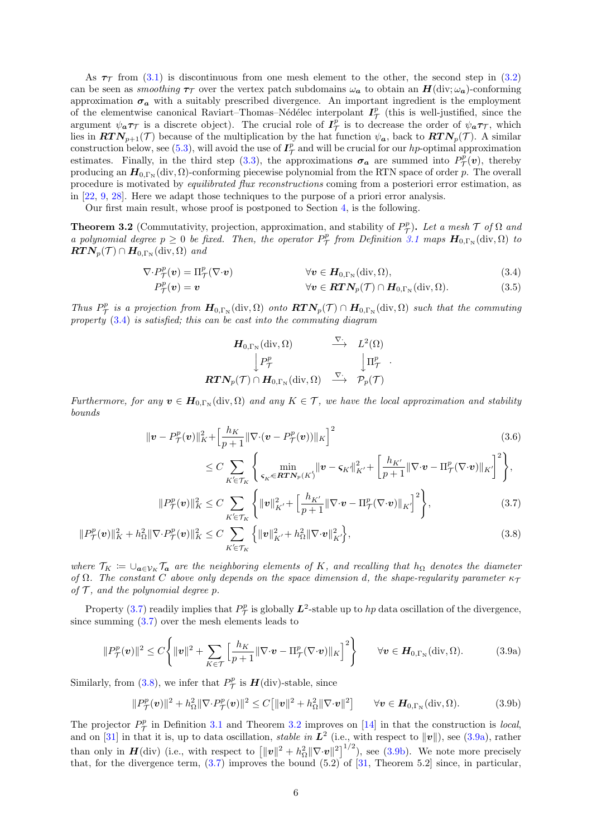As  $\tau$  from [\(3.1\)](#page-5-4) is discontinuous from one mesh element to the other, the second step in [\(3.2\)](#page-5-5) can be seen as *smoothing*  $\tau_T$  over the vertex patch subdomains  $\omega_a$  to obtain an  $H(\text{div}; \omega_a)$ -conforming approximation  $\sigma_a$  with a suitably prescribed divergence. An important ingredient is the employment of the elementwise canonical Raviart–Thomas–Nédélec interpolant  $I^p_{\mathcal{T}}$  (this is well-justified, since the argument  $\psi_a \tau_\mathcal{T}$  is a discrete object). The crucial role of  $I^p_\mathcal{T}$  is to decrease the order of  $\psi_a \tau_\mathcal{T}$ , which lies in  $RTN_{p+1}(\mathcal{T})$  because of the multiplication by the hat function  $\psi_a$ , back to  $RTN_p(\mathcal{T})$ . A similar construction below, see [\(5.3\)](#page-13-0), will avoid the use of  $I^{\tilde{p}}_{\mathcal{T}}$  and will be crucial for our hp-optimal approximation estimates. Finally, in the third step [\(3.3\)](#page-5-6), the approximations  $\sigma_a$  are summed into  $P^{\bar{p}}_{\cal{T}}(v)$ , thereby producing an  $H_{0,\Gamma_N}(\text{div}, \Omega)$ -conforming piecewise polynomial from the RTN space of order p. The overall procedure is motivated by equilibrated flux reconstructions coming from a posteriori error estimation, as in [\[22,](#page-20-10) [9,](#page-19-12) [28\]](#page-20-12). Here we adapt those techniques to the purpose of a priori error analysis.

Our first main result, whose proof is postponed to Section [4,](#page-8-1) is the following.

<span id="page-6-0"></span>**Theorem 3.2** (Commutativity, projection, approximation, and stability of  $P^p_{\mathcal{T}}$ ). Let a mesh  $\mathcal{T}$  of  $\Omega$  and a polynomial degree  $p \geq 0$  be fixed. Then, the operator  $P^p_{\tau}$  from Definition [3.1](#page-5-0) maps  $H_{0,\Gamma_N}(\text{div},\Omega)$  to  $\boldsymbol{RTN_p(\mathcal{T}) \cap H_{0,\Gamma_N}(\text{div},\Omega)}$  and

$$
\nabla \cdot P^p_{\mathcal{T}}(\boldsymbol{v}) = \Pi^p_{\mathcal{T}}(\nabla \cdot \boldsymbol{v}) \qquad \forall \boldsymbol{v} \in \boldsymbol{H}_{0,\Gamma_N}(\text{div},\Omega), \qquad (3.4)
$$

$$
P_{\mathcal{T}}^p(v) = v \qquad \qquad \forall v \in \mathbf{RTN}_p(\mathcal{T}) \cap \mathbf{H}_{0,\Gamma_N}(\text{div},\Omega). \tag{3.5}
$$

Thus  $P^p_\mathcal{T}$  is a projection from  $\mathbf{H}_{0,\Gamma_\text{N}}(\text{div},\Omega)$  onto  $\mathbf{RTN}_p(\mathcal{T}) \cap \mathbf{H}_{0,\Gamma_\text{N}}(\text{div},\Omega)$  such that the commuting property [\(3.4\)](#page-6-1) is satisfied; this can be cast into the commuting diagram

<span id="page-6-7"></span><span id="page-6-1"></span>
$$
\begin{array}{ccc}\n\mathbf{H}_{0,\Gamma_{\mathbb{N}}}(\operatorname{div},\Omega) & \stackrel{\nabla}{\longrightarrow} & L^{2}(\Omega) \\
\downarrow P_{\mathcal{T}}^{p} & & \downarrow \Pi_{\mathcal{T}}^{p} \\
\mathbf{R} \mathbf{T} \mathbf{N}_{p}(\mathcal{T}) \cap \mathbf{H}_{0,\Gamma_{\mathbb{N}}}(\operatorname{div},\Omega) & \stackrel{\nabla}{\longrightarrow} & \mathcal{P}_{p}(\mathcal{T})\n\end{array}
$$

Furthermore, for any  $v \in H_{0,\Gamma_N}(\text{div}, \Omega)$  and any  $K \in \mathcal{T}$ , we have the local approximation and stability bounds

$$
\|\mathbf{v} - P_{\mathcal{T}}^p(\mathbf{v})\|_{K}^2 + \left[\frac{h_K}{p+1} \|\nabla \cdot (\mathbf{v} - P_{\mathcal{T}}^p(\mathbf{v}))\|_{K}\right]^2 \tag{3.6}
$$

<span id="page-6-6"></span><span id="page-6-4"></span><span id="page-6-3"></span><span id="page-6-2"></span>
$$
\leq C \sum_{K' \in \mathcal{T}_K} \left\{ \min_{\varsigma_K \in \mathbf{R} \mathbf{T} \mathbf{N}_p(K')} ||\mathbf{v} - \varsigma_{K'}||^2_{K'} + \left[ \frac{h_{K'}}{p+1} ||\nabla \cdot \mathbf{v} - \Pi^p_{\mathcal{T}}(\nabla \cdot \mathbf{v})||^2_{K'} \right]^2 \right\},
$$

$$
||P^p_{\mathcal{T}}(\boldsymbol{v})||_K^2 \le C \sum_{K' \in \mathcal{T}_K} \left\{ ||\boldsymbol{v}||_{K'}^2 + \left[\frac{h_{K'}}{p+1} ||\nabla \cdot \boldsymbol{v} - \Pi^p_{\mathcal{T}}(\nabla \cdot \boldsymbol{v})||_{K'} \right]^2 \right\},\tag{3.7}
$$

$$
||P^p_{\mathcal{T}}(\boldsymbol{v})||_K^2 + h_\Omega^2 ||\nabla \cdot P^p_{\mathcal{T}}(\boldsymbol{v})||_K^2 \le C \sum_{K' \in \mathcal{T}_K} \left\{ ||\boldsymbol{v}||_{K'}^2 + h_\Omega^2 ||\nabla \cdot \boldsymbol{v}||_{K'}^2 \right\},\tag{3.8}
$$

where  $\mathcal{T}_K := \bigcup_{\mathbf{a}\in\mathcal{V}_K} \mathcal{T}_\mathbf{a}$  are the neighboring elements of K, and recalling that  $h_{\Omega}$  denotes the diameter of  $\Omega$ . The constant C above only depends on the space dimension d, the shape-regularity parameter  $\kappa_{\mathcal{T}}$ of  $\mathcal T$ , and the polynomial degree p.

Property [\(3.7\)](#page-6-2) readily implies that  $P^p_{\mathcal{T}}$  is globally  $\mathbf{L}^2$ -stable up to  $hp$  data oscillation of the divergence, since summing [\(3.7\)](#page-6-2) over the mesh elements leads to

$$
||P^p_{\mathcal{T}}(\mathbf{v})||^2 \leq C \Bigg\{ ||\mathbf{v}||^2 + \sum_{K \in \mathcal{T}} \Big[ \frac{h_K}{p+1} ||\nabla \cdot \mathbf{v} - \Pi^p_{\mathcal{T}}(\nabla \cdot \mathbf{v})||_K \Big]^2 \Bigg\} \qquad \forall \mathbf{v} \in \mathbf{H}_{0,\Gamma_N}(\text{div}, \Omega). \tag{3.9a}
$$

Similarly, from [\(3.8\)](#page-6-3), we infer that  $P^p_{\mathcal{T}}$  is  $\mathbf{H}$ (div)-stable, since

<span id="page-6-5"></span>
$$
||P^p_{\mathcal{T}}(\boldsymbol{v})||^2 + h_\Omega^2 ||\nabla \cdot P^p_{\mathcal{T}}(\boldsymbol{v})||^2 \le C [||\boldsymbol{v}||^2 + h_\Omega^2 ||\nabla \cdot \boldsymbol{v}||^2] \qquad \forall \boldsymbol{v} \in \boldsymbol{H}_{0,\Gamma_N}(\text{div},\Omega). \tag{3.9b}
$$

The projector  $P^p_{\mathcal{T}}$  in Definition [3.1](#page-5-0) and Theorem [3.2](#page-6-0) improves on [\[14\]](#page-19-7) in that the construction is local, and on [\[31\]](#page-20-8) in that it is, up to data oscillation, *stable in*  $L^2$  (i.e., with respect to  $||v||$ ), see [\(3.9a\)](#page-6-4), rather than only in  $H(\text{div})$  (i.e., with respect to  $\left[||\mathbf{v}||^2 + h_{\Omega}^2 ||\nabla \cdot \mathbf{v}||^2\right]^{1/2}$ ), see [\(3.9b\)](#page-6-5). We note more precisely that, for the divergence term,  $(3.7)$  improves the bound  $(5.2)$  of  $[31,$  Theorem  $5.2]$  since, in particular,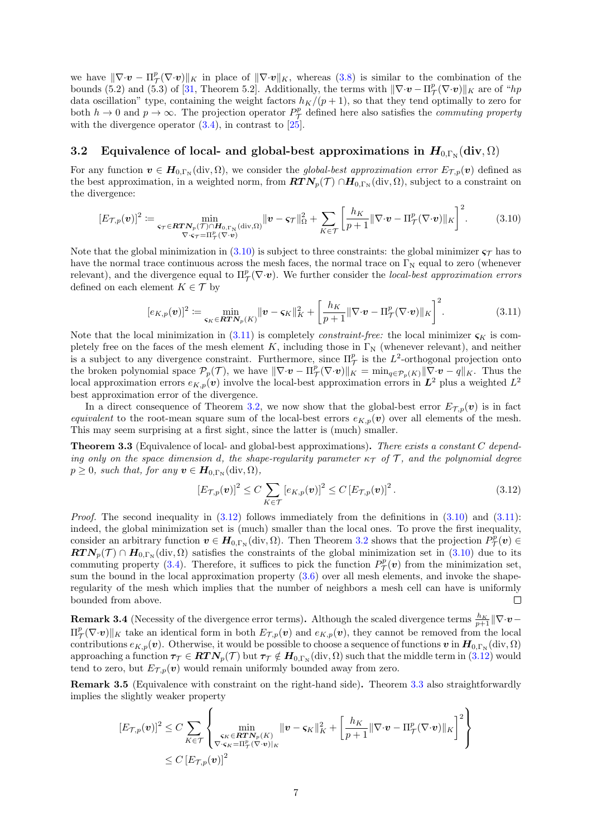we have  $\|\nabla \cdot \mathbf{v} - \Pi_{\mathcal{T}}^p(\nabla \cdot \mathbf{v})\|_K$  in place of  $\|\nabla \cdot \mathbf{v}\|_K$ , whereas [\(3.8\)](#page-6-3) is similar to the combination of the bounds (5.2) and (5.3) of [\[31,](#page-20-8) Theorem 5.2]. Additionally, the terms with  $\|\nabla \cdot \mathbf{v} - \Pi_{\mathcal{T}}^p(\nabla \cdot \mathbf{v})\|_K$  are of "hp data oscillation" type, containing the weight factors  $h_K/(p+1)$ , so that they tend optimally to zero for both  $h \to 0$  and  $p \to \infty$ . The projection operator  $P^p_{\mathcal{T}}$  defined here also satisfies the *commuting property* with the divergence operator  $(3.4)$ , in contrast to  $[25]$ .

### 3.2 Equivalence of local- and global-best approximations in  $\bm{H}_{0,\Gamma_{\rm N}}(\mathrm{div},\Omega)$

For any function  $v \in H_{0,\Gamma_N}(\text{div},\Omega)$ , we consider the *global-best approximation error*  $E_{\mathcal{T},p}(v)$  defined as the best approximation, in a weighted norm, from  $RTN_p(\mathcal{T}) \cap H_{0,\Gamma_N}(\text{div}, \Omega)$ , subject to a constraint on the divergence:

<span id="page-7-1"></span>
$$
[E_{\mathcal{T},p}(\boldsymbol{v})]^2 := \min_{\substack{\varsigma_{\mathcal{T}} \in \boldsymbol{R}\boldsymbol{T}\boldsymbol{N}_p(\mathcal{T}) \cap \boldsymbol{H}_{0,\Gamma_{\rm N}}(\text{div},\Omega) \\ \nabla \cdot \varsigma_{\mathcal{T}} = \Pi_{\mathcal{T}}^p(\nabla \cdot \boldsymbol{v})}} ||\boldsymbol{v} - \varsigma_{\mathcal{T}}||_{\Omega}^2 + \sum_{K \in \mathcal{T}} \left[ \frac{h_K}{p+1} ||\nabla \cdot \boldsymbol{v} - \Pi_{\mathcal{T}}^p(\nabla \cdot \boldsymbol{v})||_K \right]^2.
$$
(3.10)

Note that the global minimization in [\(3.10\)](#page-7-1) is subject to three constraints: the global minimizer  $\varsigma_T$  has to have the normal trace continuous across the mesh faces, the normal trace on  $\Gamma_{\rm N}$  equal to zero (whenever relevant), and the divergence equal to  $\Pi^p_{\mathcal{T}}(\nabla \cdot \boldsymbol{v})$ . We further consider the *local-best approximation errors* defined on each element  $K \in \mathcal{T}$  by

<span id="page-7-2"></span>
$$
[e_{K,p}(\boldsymbol{v})]^2 := \min_{\boldsymbol{\varsigma}_K \in \boldsymbol{R}\boldsymbol{T}\boldsymbol{N}_p(K)} \|\boldsymbol{v} - \boldsymbol{\varsigma}_K\|_K^2 + \left[\frac{h_K}{p+1} \|\nabla \cdot \boldsymbol{v} - \Pi^p_{\boldsymbol{\tau}}(\nabla \cdot \boldsymbol{v})\|_K\right]^2. \tag{3.11}
$$

Note that the local minimization in [\(3.11\)](#page-7-2) is completely *constraint-free:* the local minimizer  $\varsigma_K$  is completely free on the faces of the mesh element K, including those in  $\Gamma_{\rm N}$  (whenever relevant), and neither is a subject to any divergence constraint. Furthermore, since  $\Pi_{\mathcal{T}}^p$  is the  $L^2$ -orthogonal projection onto the broken polynomial space  $\mathcal{P}_p(\mathcal{T})$ , we have  $\|\nabla \cdot v - \Pi_{\mathcal{T}}^p(\nabla \cdot v)\|_K = \min_{q \in \mathcal{P}_p(K)} \|\nabla \cdot v - q\|_K$ . Thus the local approximation errors  $e_{K,p}(v)$  involve the local-best approximation errors in  $L^2$  plus a weighted  $L^2$ best approximation error of the divergence.

In a direct consequence of Theorem [3.2,](#page-6-0) we now show that the global-best error  $E_{\mathcal{T},p}(\boldsymbol{v})$  is in fact equivalent to the root-mean square sum of the local-best errors  $e_{K,p}(v)$  over all elements of the mesh. This may seem surprising at a first sight, since the latter is (much) smaller.

<span id="page-7-0"></span>**Theorem 3.3** (Equivalence of local- and global-best approximations). There exists a constant C depending only on the space dimension d, the shape-regularity parameter  $\kappa_{\mathcal{T}}$  of  $\mathcal{T}$ , and the polynomial degree  $p \geq 0$ , such that, for any  $\boldsymbol{v} \in \boldsymbol{H}_{0,\Gamma_{\text{N}}}(\text{div},\Omega)$ ,

<span id="page-7-3"></span>
$$
\left[E_{\mathcal{T},p}(\boldsymbol{v})\right]^2 \le C \sum_{K \in \mathcal{T}} \left[e_{K,p}(\boldsymbol{v})\right]^2 \le C \left[E_{\mathcal{T},p}(\boldsymbol{v})\right]^2. \tag{3.12}
$$

*Proof.* The second inequality in  $(3.12)$  follows immediately from the definitions in  $(3.10)$  and  $(3.11)$ : indeed, the global minimization set is (much) smaller than the local ones. To prove the first inequality, consider an arbitrary function  $\mathbf{v} \in \mathbf{H}_{0,\Gamma_{\mathbb{N}}}(\text{div},\Omega)$ . Then Theorem [3.2](#page-6-0) shows that the projection  $P^p_{\mathcal{T}}(\mathbf{v}) \in$  $RTN_p(\mathcal{T}) \cap H_{0,\Gamma_N}(\text{div},\Omega)$  satisfies the constraints of the global minimization set in  $(3.10)$  due to its commuting property [\(3.4\)](#page-6-1). Therefore, it suffices to pick the function  $P^p_{\mathcal{T}}(v)$  from the minimization set, sum the bound in the local approximation property [\(3.6\)](#page-6-6) over all mesh elements, and invoke the shaperegularity of the mesh which implies that the number of neighbors a mesh cell can have is uniformly bounded from above.  $\Box$ 

**Remark 3.4** (Necessity of the divergence error terms). Although the scaled divergence terms  $\frac{h_K}{p+1} \|\nabla \cdot \bm{v} - \vec{v}\|$  $\Pi^p_\mathcal{T}(\nabla \cdot \boldsymbol{v})\|_K$  take an identical form in both  $E_{\mathcal{T},p}(\boldsymbol{v})$  and  $e_{K,p}(\boldsymbol{v})$ , they cannot be removed from the local contributions  $e_{K,p}(\bm{v})$ . Otherwise, it would be possible to choose a sequence of functions  $\bm{v}$  in  $\bm{H}_{0,\Gamma_N}(\mathrm{div},\Omega)$ approaching a function  $\tau_\mathcal{T} \in \pmb{RTN}_p(\mathcal{T})$  but  $\tau_\mathcal{T} \notin \pmb{H}_{0,\Gamma_N}(\text{div},\Omega)$  such that the middle term in  $(3.12)$  would tend to zero, but  $E_{\mathcal{T},p}(\boldsymbol{v})$  would remain uniformly bounded away from zero.

Remark 3.5 (Equivalence with constraint on the right-hand side). Theorem [3.3](#page-7-0) also straightforwardly implies the slightly weaker property

$$
[E_{\mathcal{T},p}(\mathbf{v})]^2 \leq C \sum_{K \in \mathcal{T}} \left\{ \min_{\substack{\mathbf{G}_K \in \mathbf{R}\mathbf{T}\mathbf{N}_p(K) \\ \nabla \cdot \mathbf{G}_K = \Pi_{\mathcal{T}}^p(\nabla \cdot \mathbf{v})|_K}} ||\mathbf{v} - \mathbf{G}_K||_K^2 + \left[\frac{h_K}{p+1} ||\nabla \cdot \mathbf{v} - \Pi_{\mathcal{T}}^p(\nabla \cdot \mathbf{v})||_K \right]^2 \right\}
$$
  
 
$$
\leq C \left[ E_{\mathcal{T},p}(\mathbf{v}) \right]^2
$$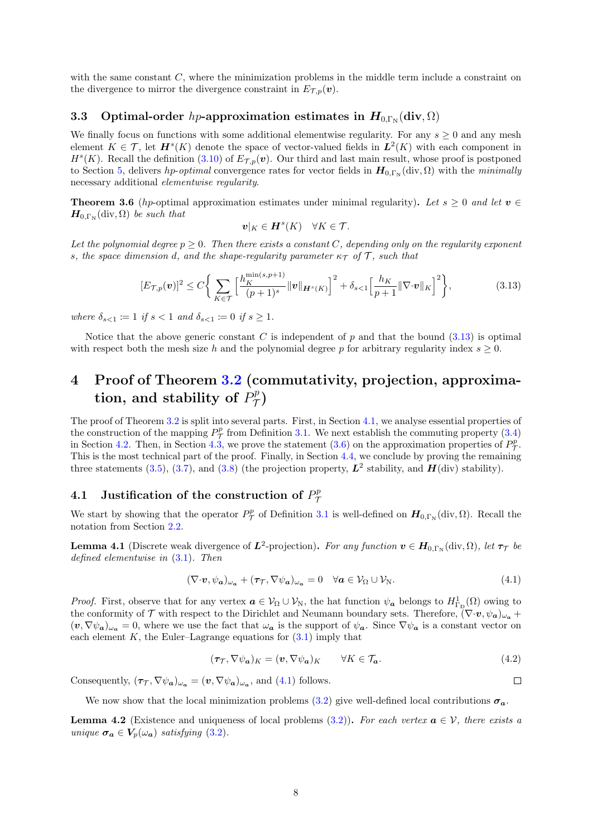with the same constant C, where the minimization problems in the middle term include a constraint on the divergence to mirror the divergence constraint in  $E_{\mathcal{T},p}(\boldsymbol{v})$ .

### 3.3 Optimal-order hp-approximation estimates in  $\bm{H}_{0,\Gamma_{\rm N}}(\mathrm{div},\Omega)$

We finally focus on functions with some additional elementwise regularity. For any  $s \geq 0$  and any mesh element  $K \in \mathcal{T}$ , let  $\mathbf{H}^s(K)$  denote the space of vector-valued fields in  $\mathbf{L}^2(K)$  with each component in  $H<sup>s</sup>(K)$ . Recall the definition [\(3.10\)](#page-7-1) of  $E<sub>T,p</sub>(v)$ . Our third and last main result, whose proof is postponed to Section [5,](#page-12-0) delivers hp-optimal convergence rates for vector fields in  $H_{0,\Gamma_N}(\text{div}, \Omega)$  with the minimally necessary additional elementwise regularity.

<span id="page-8-0"></span>**Theorem 3.6** (hp-optimal approximation estimates under minimal regularity). Let  $s \geq 0$  and let  $v \in \mathbb{R}$  $\boldsymbol{H}_{0,\Gamma_{\rm N}}(\text{div},\Omega)$  be such that

$$
\boldsymbol{v}|_K \in \boldsymbol{H}^s(K) \quad \forall K \in \mathcal{T}.
$$

Let the polynomial degree  $p \geq 0$ . Then there exists a constant C, depending only on the regularity exponent s, the space dimension d, and the shape-regularity parameter  $\kappa_{\mathcal{T}}$  of T, such that

<span id="page-8-3"></span>
$$
[E_{\mathcal{T},p}(\mathbf{v})]^2 \le C \bigg\{ \sum_{K \in \mathcal{T}} \Big[ \frac{h_K^{\min(s,p+1)}}{(p+1)^s} \|\mathbf{v}\|_{\mathbf{H}^s(K)} \Big]^2 + \delta_{s<1} \Big[ \frac{h_K}{p+1} \|\nabla \cdot \mathbf{v}\|_K \Big]^2 \bigg\},\tag{3.13}
$$

where  $\delta_{s<1} := 1$  if  $s < 1$  and  $\delta_{s<1} := 0$  if  $s \geq 1$ .

Notice that the above generic constant C is independent of p and that the bound  $(3.13)$  is optimal with respect both the mesh size h and the polynomial degree p for arbitrary regularity index  $s \geq 0$ .

### <span id="page-8-1"></span>4 Proof of Theorem [3.2](#page-6-0) (commutativity, projection, approximation, and stability of  $P^p_\mathcal{T}$  $\stackrel{op}{\mathcal{T}})$

The proof of Theorem [3.2](#page-6-0) is split into several parts. First, in Section [4.1,](#page-8-2) we analyse essential properties of the construction of the mapping  $P^p_{\mathcal{T}}$  from Definition [3.1.](#page-5-0) We next establish the commuting property [\(3.4\)](#page-6-1) in Section [4.2.](#page-9-1) Then, in Section [4.3,](#page-9-2) we prove the statement [\(3.6\)](#page-6-6) on the approximation properties of  $P_{\tau}^{p}$ . This is the most technical part of the proof. Finally, in Section [4.4,](#page-12-1) we conclude by proving the remaining three statements [\(3.5\)](#page-6-7), [\(3.7\)](#page-6-2), and [\(3.8\)](#page-6-3) (the projection property,  $\mathbf{L}^2$  stability, and  $\mathbf{H}$ (div) stability).

#### <span id="page-8-2"></span>4.1 Justification of the construction of  $P^p_{\tau}$  $\tau$

We start by showing that the operator  $P^p_{\mathcal{T}}$  of Definition [3.1](#page-5-0) is well-defined on  $\mathbf{H}_{0,\Gamma_N}(\text{div},\Omega)$ . Recall the notation from Section [2.2.](#page-4-1)

<span id="page-8-5"></span>**Lemma 4.1** (Discrete weak divergence of  $L^2$ -projection). For any function  $v \in H_{0,\Gamma_N}(\text{div}, \Omega)$ , let  $\tau_{\mathcal{T}}$  be defined elementwise in [\(3.1\)](#page-5-4). Then

<span id="page-8-4"></span>
$$
(\nabla \cdot \boldsymbol{v}, \psi_{\boldsymbol{a}})_{\omega_{\boldsymbol{a}}} + (\boldsymbol{\tau}_{\mathcal{T}}, \nabla \psi_{\boldsymbol{a}})_{\omega_{\boldsymbol{a}}} = 0 \quad \forall \boldsymbol{a} \in \mathcal{V}_{\Omega} \cup \mathcal{V}_{N}.
$$
\n(4.1)

*Proof.* First, observe that for any vertex  $a \in V_{\Omega} \cup V_{\mathbb{N}}$ , the hat function  $\psi_a$  belongs to  $H^1_{\Gamma_{\mathbb{D}}}(\Omega)$  owing to the conformity of T with respect to the Dirichlet and Neumann boundary sets. Therefore,  $(\nabla \cdot \boldsymbol{v}, \psi_{\boldsymbol{a}})_{\omega_{\boldsymbol{a}}}$  $(\mathbf{v}, \nabla \psi_a)_{\omega_a} = 0$ , where we use the fact that  $\omega_a$  is the support of  $\psi_a$ . Since  $\nabla \psi_a$  is a constant vector on each element  $K$ , the Euler–Lagrange equations for  $(3.1)$  imply that

<span id="page-8-7"></span>
$$
(\tau_{\mathcal{T}}, \nabla \psi_{a})_{K} = (\mathbf{v}, \nabla \psi_{a})_{K} \qquad \forall K \in \mathcal{T}_{a}.
$$
\n
$$
(4.2)
$$

Consequently,  $(\tau_\mathcal{T}, \nabla \psi_a)_{\omega_a} = (\mathbf{v}, \nabla \psi_a)_{\omega_a}$ , and [\(4.1\)](#page-8-4) follows.

 $\Box$ 

We now show that the local minimization problems [\(3.2\)](#page-5-5) give well-defined local contributions  $\sigma_a$ .

<span id="page-8-6"></span>**Lemma 4.2** (Existence and uniqueness of local problems [\(3.2\)](#page-5-5)). For each vertex  $a \in V$ , there exists a unique  $\sigma_a \in V_p(\omega_a)$  satisfying [\(3.2\)](#page-5-5).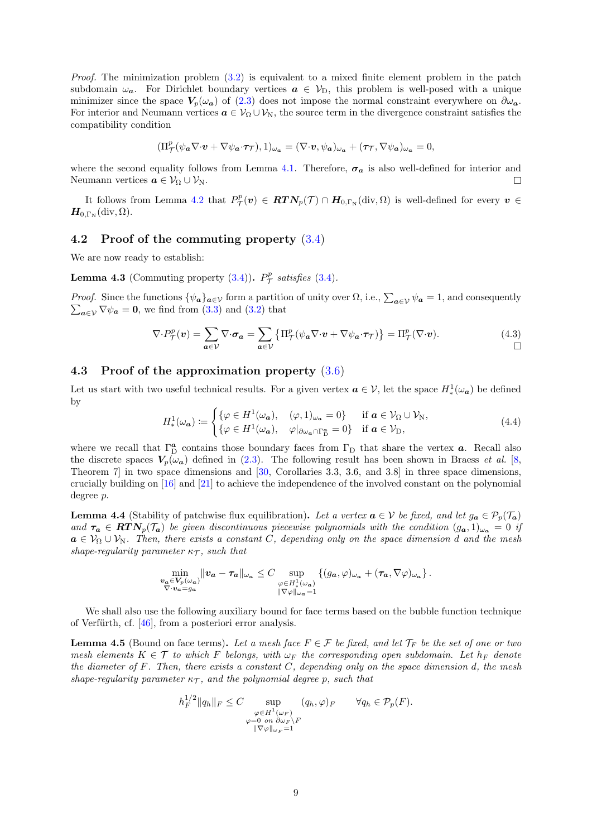*Proof.* The minimization problem  $(3.2)$  is equivalent to a mixed finite element problem in the patch subdomain  $\omega_a$ . For Dirichlet boundary vertices  $a \in V_D$ , this problem is well-posed with a unique minimizer since the space  $V_p(\omega_a)$  of [\(2.3\)](#page-5-3) does not impose the normal constraint everywhere on  $\partial \omega_a$ . For interior and Neumann vertices  $a \in V_\Omega \cup V_\mathbb{N}$ , the source term in the divergence constraint satisfies the compatibility condition

$$
(\Pi_{\mathcal{T}}^p(\psi_{\pmb{a}} \nabla \cdot \pmb{v} + \nabla \psi_{\pmb{a}} \cdot \pmb{\tau}_{\mathcal{T}}),1)_{\omega_{\pmb{a}}} = (\nabla \cdot \pmb{v}, \psi_{\pmb{a}})_{\omega_{\pmb{a}}} + (\pmb{\tau}_{\mathcal{T}}, \nabla \psi_{\pmb{a}})_{\omega_{\pmb{a}}} = 0,
$$

where the second equality follows from Lemma [4.1.](#page-8-5) Therefore,  $\sigma_a$  is also well-defined for interior and Neumann vertices  $a \in V_{\Omega} \cup V_{N}$ .  $\Box$ 

It follows from Lemma [4.2](#page-8-6) that  $P^p_{\mathcal{T}}(v) \in RTN_p(\mathcal{T}) \cap H_{0,\Gamma_N}(\text{div},\Omega)$  is well-defined for every  $v \in$  $\boldsymbol{H}_{0,\Gamma_{\rm N}}(\operatorname{div},\Omega).$ 

#### <span id="page-9-1"></span>4.2 Proof of the commuting property [\(3.4\)](#page-6-1)

We are now ready to establish:

**Lemma 4.3** (Commuting property  $(3.4)$ ).  $P^p_{\mathcal{T}}$  satisfies  $(3.4)$ .

*Proof.* Since the functions  $\{\psi_a\}_{a\in\mathcal{V}}$  form a partition of unity over  $\Omega$ , i.e.,  $\sum_{a\in\mathcal{V}} \psi_a = 1$ , and consequently  $\sum_{a\in\mathcal{V}} \nabla \psi_a = \mathbf{0}$ , we find from (3.3) and (3.2) that  $\sum_{\mathbf{a}\in\mathcal{V}}\nabla\psi_{\mathbf{a}}=\mathbf{0}$ , we find from [\(3.3\)](#page-5-6) and [\(3.2\)](#page-5-5) that

<span id="page-9-5"></span>
$$
\nabla \cdot P_{\mathcal{T}}^{p}(\mathbf{v}) = \sum_{a \in \mathcal{V}} \nabla \cdot \sigma_{a} = \sum_{a \in \mathcal{V}} \left\{ \Pi_{\mathcal{T}}^{p}(\psi_{a} \nabla \cdot \mathbf{v} + \nabla \psi_{a} \cdot \tau_{\mathcal{T}}) \right\} = \Pi_{\mathcal{T}}^{p}(\nabla \cdot \mathbf{v}). \tag{4.3}
$$

#### <span id="page-9-2"></span>4.3 Proof of the approximation property [\(3.6\)](#page-6-6)

Let us start with two useful technical results. For a given vertex  $a \in V$ , let the space  $H^1_*(\omega_a)$  be defined by

<span id="page-9-3"></span>
$$
H^1_*(\omega_a) := \begin{cases} {\{\varphi \in H^1(\omega_a), \quad (\varphi, 1)_{\omega_a} = 0\}} & \text{if } a \in \mathcal{V}_\Omega \cup \mathcal{V}_N, \\ {\{\varphi \in H^1(\omega_a), \quad \varphi|_{\partial \omega_a \cap \Gamma_\mathcal{D}^a} = 0\}} & \text{if } a \in \mathcal{V}_\mathcal{D}, \end{cases}
$$
(4.4)

where we recall that  $\Gamma_{D}^{\alpha}$  contains those boundary faces from  $\Gamma_{D}$  that share the vertex  $\alpha$ . Recall also the discrete spaces  $V_p(\omega_a)$  defined in [\(2.3\)](#page-5-3). The following result has been shown in Braess *et al.* [\[8,](#page-19-15) Theorem 7] in two space dimensions and [\[30,](#page-20-16) Corollaries 3.3, 3.6, and 3.8] in three space dimensions, crucially building on [\[16\]](#page-19-14) and [\[21\]](#page-20-1) to achieve the independence of the involved constant on the polynomial degree p.

<span id="page-9-0"></span>**Lemma 4.4** (Stability of patchwise flux equilibration). Let a vertex  $a \in V$  be fixed, and let  $g_a \in \mathcal{P}_p(\mathcal{T}_a)$ and  $\tau_a \in RTN_p(\mathcal{T}_a)$  be given discontinuous piecewise polynomials with the condition  $(g_a, 1)_{\omega_a} = 0$  if  $a \in V_{\Omega} \cup V_{\mathbb{N}}$ . Then, there exists a constant C, depending only on the space dimension d and the mesh shape-regularity parameter  $\kappa_{\tau}$ , such that

$$
\min_{\substack{\mathbf{v}_a \in V_p(\omega_a) \\ \nabla \cdot \mathbf{v}_a = g_a}} \| \mathbf{v}_a - \tau_a \|_{\omega_a} \leq C \sup_{\substack{\varphi \in H^1_*(\omega_a) \\ \|\nabla \varphi\|_{\omega_a} = 1}} \{ (g_a, \varphi)_{\omega_a} + (\tau_a, \nabla \varphi)_{\omega_a} \}.
$$

We shall also use the following auxiliary bound for face terms based on the bubble function technique of Verfürth, cf.  $[46]$ , from a posteriori error analysis.

<span id="page-9-4"></span>**Lemma 4.5** (Bound on face terms). Let a mesh face  $F \in \mathcal{F}$  be fixed, and let  $\mathcal{T}_F$  be the set of one or two mesh elements  $K \in \mathcal{T}$  to which F belongs, with  $\omega_F$  the corresponding open subdomain. Let  $h_F$  denote the diameter of  $F$ . Then, there exists a constant  $C$ , depending only on the space dimension  $d$ , the mesh shape-regularity parameter  $\kappa_{\mathcal{T}}$ , and the polynomial degree p, such that

$$
h_F^{1/2} \|q_h\|_F \leq C \sup_{\substack{\varphi \in H^1(\omega_F) \\ \varphi = 0 \text{ on } \partial \omega_F \setminus F \\ \|\nabla \varphi\|_{\omega_F} = 1}} (q_h, \varphi)_F \qquad \forall q_h \in \mathcal{P}_p(F).
$$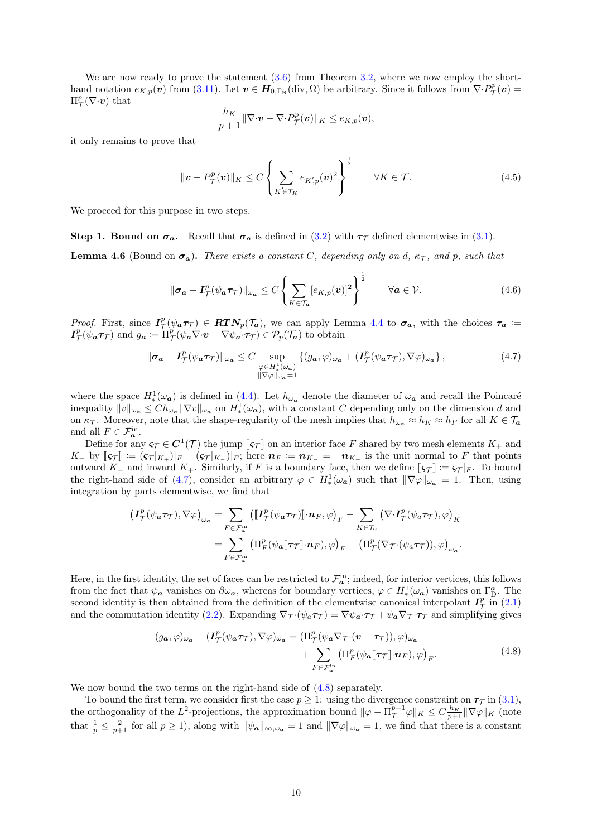We are now ready to prove the statement  $(3.6)$  from Theorem [3.2,](#page-6-0) where we now employ the shorthand notation  $e_{K,p}(\boldsymbol{v})$  from [\(3.11\)](#page-7-2). Let  $\boldsymbol{v} \in \boldsymbol{H}_{0,\Gamma_N}(\text{div},\Omega)$  be arbitrary. Since it follows from  $\nabla \cdot P^p_{\mathcal{T}}(\boldsymbol{v}) =$  $\Pi^p_{\mathcal{T}}(\nabla \cdot \boldsymbol{v})$  that

$$
\frac{h_K}{p+1} \|\nabla \cdot \mathbf{v} - \nabla \cdot P_{\mathcal{T}}^p(\mathbf{v})\|_K \leq e_{K,p}(\mathbf{v}),
$$

it only remains to prove that

<span id="page-10-4"></span>
$$
\|\mathbf{v} - P_{\mathcal{T}}^p(\mathbf{v})\|_K \le C \left\{ \sum_{K' \in \mathcal{T}_K} e_{K,p}(\mathbf{v})^2 \right\}^{\frac{1}{2}} \qquad \forall K \in \mathcal{T}.
$$
 (4.5)

We proceed for this purpose in two steps.

Step 1. Bound on  $\sigma_a$ . Recall that  $\sigma_a$  is defined in [\(3.2\)](#page-5-5) with  $\tau_{\tau}$  defined elementwise in [\(3.1\)](#page-5-4).

<span id="page-10-3"></span>**Lemma 4.6** (Bound on  $\sigma_a$ ). There exists a constant C, depending only on d,  $\kappa_{\mathcal{T}}$ , and p, such that

<span id="page-10-2"></span>
$$
\|\boldsymbol{\sigma_a} - \boldsymbol{I}_\mathcal{T}^p(\psi_a \boldsymbol{\tau}_\mathcal{T})\|_{\omega_a} \le C \left\{ \sum_{K \in \mathcal{T}_a} [e_{K,p}(\boldsymbol{v})]^2 \right\}^{\frac{1}{2}} \qquad \forall a \in \mathcal{V}.
$$
 (4.6)

Proof. First, since  $I^p_\mathcal{T}(\psi_a \tau_\mathcal{T}) \in RTN_p(\mathcal{T}_a)$ , we can apply Lemma [4.4](#page-9-0) to  $\sigma_a$ , with the choices  $\tau_a \coloneqq$  $I^p_{\mathcal{T}}(\psi_a \tau_{\mathcal{T}})$  and  $g_a := \Pi^p_{\mathcal{T}}(\psi_a \nabla \cdot v + \nabla \psi_a \cdot \tau_{\mathcal{T}}) \in \mathcal{P}_p(\mathcal{T}_a)$  to obtain

<span id="page-10-0"></span>
$$
\|\sigma_a - I_\mathcal{T}^p(\psi_a \tau_\mathcal{T})\|_{\omega_a} \le C \sup_{\substack{\varphi \in H_a^1(\omega_a) \\ \|\nabla \varphi\|_{\omega_a} = 1}} \{ (g_a, \varphi)_{\omega_a} + (I_\mathcal{T}^p(\psi_a \tau_\mathcal{T}), \nabla \varphi)_{\omega_a} \},\tag{4.7}
$$

where the space  $H^1_*(\omega_a)$  is defined in [\(4.4\)](#page-9-3). Let  $h_{\omega_a}$  denote the diameter of  $\omega_a$  and recall the Poincaré inequality  $||v||_{\omega_a} \leq Ch_{\omega_a} ||\nabla v||_{\omega_a}$  on  $H^1_*(\omega_a)$ , with a constant C depending only on the dimension d and on  $\kappa_{\mathcal{T}}$ . Moreover, note that the shape-regularity of the mesh implies that  $h_{\omega_a} \approx h_K \approx h_F$  for all  $K \in \mathcal{T}_a$ and all  $F \in \mathcal{F}_a^{\text{in}}$ .

Define for any  $\varsigma_{\mathcal{T}} \in C^1(\mathcal{T})$  the jump  $\llbracket \varsigma_{\mathcal{T}} \rrbracket$  on an interior face F shared by two mesh elements  $K_+$  and<br>by  $\llbracket \varsigma_{\mathcal{T}} \rrbracket := (\varsigma_{\mathcal{T}}|_{X_+})|_{\mathcal{T}}$  between  $\eta_{\mathcal{T}} := \eta_{X_+} = -\eta_{X_+}$  is the unit n  $K_{-}$  by  $\llbracket \varsigma_{\mathcal{T}} \rrbracket := (\varsigma_{\mathcal{T}}|_{K_{+}})|_{F} - (\varsigma_{\mathcal{T}}|_{K_{-}})|_{F}$ ; here  $n_F := n_{K_{-}} = -n_{K_{+}}$  is the unit normal to F that points outward K<sub>−</sub> and inward K<sub>+</sub>. Similarly, if F is a boundary face, then we define  $\llbracket \varsigma_T \rrbracket := \varsigma_T |_F$ . To bound the right-hand side of [\(4.7\)](#page-10-0), consider an arbitrary  $\varphi \in H^1_*(\omega_a)$  such that  $\|\nabla \varphi\|_{\omega_a} = 1$ . Then, using integration by parts elementwise, we find that

$$
\begin{split} \left(\pmb{I}_{\mathcal{T}}^{p}(\psi_{\pmb{a}}\pmb{\tau}_{\mathcal{T}}),\nabla\varphi\right)_{\omega_{\pmb{a}}} &= \sum_{F\in\mathcal{F}_{\pmb{a}}^{\mathrm{in}}} \left(\llbracket\pmb{I}_{\mathcal{T}}^{p}(\psi_{\pmb{a}}\pmb{\tau}_{\mathcal{T}})\rrbracket\cdot\pmb{n}_{F},\varphi\right)_{F} - \sum_{K\in\mathcal{T}_{\pmb{a}}} \left(\nabla\cdot\pmb{I}_{\mathcal{T}}^{p}(\psi_{\pmb{a}}\pmb{\tau}_{\mathcal{T}}),\varphi\right)_{K} \\ &= \sum_{F\in\mathcal{F}_{\pmb{a}}^{\mathrm{in}}} \left(\Pi_{F}^{p}(\psi_{\pmb{a}}\llbracket\pmb{\tau}_{\mathcal{T}}\rrbracket\cdot\pmb{n}_{F}),\varphi\right)_{F} - \left(\Pi_{\mathcal{T}}^{p}(\nabla_{\mathcal{T}}\cdot(\psi_{\pmb{a}}\pmb{\tau}_{\mathcal{T}})),\varphi\right)_{\omega_{\pmb{a}}}.\end{split}
$$

Here, in the first identity, the set of faces can be restricted to  $\mathcal{F}_a^{\text{in}}$ ; indeed, for interior vertices, this follows from the fact that  $\psi_a$  vanishes on  $\partial\omega_a$ , whereas for boundary vertices,  $\varphi \in H^1_*(\omega_a)$  vanishes on  $\Gamma^a_{\mathcal{D}}$ . The second identity is then obtained from the definition of the elementwise canonical interpolant  $I^p_\mathcal{T}$  in [\(2.1\)](#page-5-2) and the commutation identity [\(2.2\)](#page-5-7). Expanding  $\nabla_{\mathcal{T}} \cdot (\psi_a \tau_{\mathcal{T}}) = \nabla \psi_a \cdot \tau_{\mathcal{T}} + \psi_a \nabla_{\mathcal{T}} \cdot \tau_{\mathcal{T}}$  and simplifying gives

$$
(g_{\mathbf{a}}, \varphi)_{\omega_{\mathbf{a}}} + (\mathbf{I}_{\mathcal{T}}^{p}(\psi_{\mathbf{a}}\boldsymbol{\tau}_{\mathcal{T}}), \nabla \varphi)_{\omega_{\mathbf{a}}} = (\Pi_{\mathcal{T}}^{p}(\psi_{\mathbf{a}}\nabla_{\mathcal{T}}\cdot(\mathbf{v} - \boldsymbol{\tau}_{\mathcal{T}})), \varphi)_{\omega_{\mathbf{a}}}
$$
  
+ 
$$
\sum_{F \in \mathcal{F}_{\mathbf{a}}^{\text{in}}} (\Pi_{F}^{p}(\psi_{\mathbf{a}}\llbracket \boldsymbol{\tau}_{\mathcal{T}} \rrbracket \cdot \mathbf{n}_{F}), \varphi)_{F}.
$$
 (4.8)

<span id="page-10-1"></span>We now bound the two terms on the right-hand side of  $(4.8)$  separately.

To bound the first term, we consider first the case  $p \geq 1$ : using the divergence constraint on  $\tau_{\mathcal{T}}$  in [\(3.1\)](#page-5-4), the orthogonality of the L<sup>2</sup>-projections, the approximation bound  $\|\varphi - \Pi_{\mathcal{T}}^{p-1}\varphi\|_{K} \leq C \frac{h_K}{p+1} \|\nabla \varphi\|_{K}$  (note that  $\frac{1}{p} \leq \frac{2}{p+1}$  for all  $p \geq 1$ ), along with  $\|\psi_{a}\|_{\infty,\omega_{a}} = 1$  and  $\|\nabla \varphi\|_{\omega_{a}} = 1$ , we find that there is a constant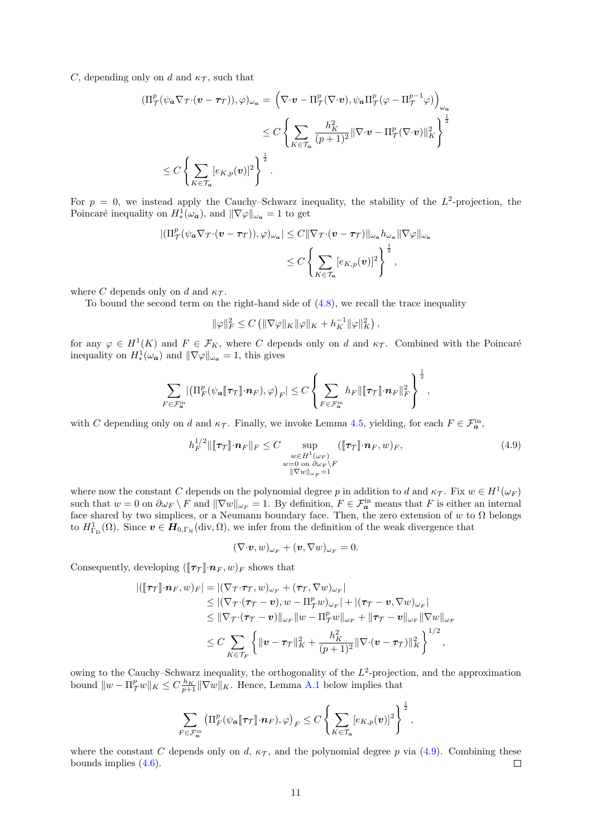C, depending only on d and  $\kappa_{\mathcal{T}}$ , such that

$$
\begin{split} (\Pi^p_{\mathcal{T}}(\psi_{\mathbf{a}} \nabla_{\mathcal{T}} \cdot (\boldsymbol{v} - \boldsymbol{\tau}_{\mathcal{T}})), \varphi)_{\omega_{\mathbf{a}}} &= \left( \nabla \cdot \boldsymbol{v} - \Pi^p_{\mathcal{T}} (\nabla \cdot \boldsymbol{v}), \psi_{\mathbf{a}} \Pi^p_{\mathcal{T}} (\varphi - \Pi^{p-1}_{\mathcal{T}} \varphi) \right)_{\omega_{\mathbf{a}}} \\ &\leq C \left\{ \sum_{K \in \mathcal{T}_{\mathbf{a}}} \frac{h_K^2}{(p+1)^2} \|\nabla \cdot \boldsymbol{v} - \Pi^p_{\mathcal{T}} (\nabla \cdot \boldsymbol{v}) \|_K^2 \right\}^{\frac{1}{2}} \\ &\leq C \left\{ \sum_{K \in \mathcal{T}_{\mathbf{a}}} [e_{K, p}(\boldsymbol{v})]^2 \right\}^{\frac{1}{2}} . \end{split}
$$

For  $p = 0$ , we instead apply the Cauchy–Schwarz inequality, the stability of the  $L^2$ -projection, the Poincaré inequality on  $H^1_*(\omega_a)$ , and  $\|\nabla \varphi\|_{\omega_a} = 1$  to get

$$
\begin{aligned} |(\Pi_{\mathcal{T}}^p(\psi_a \nabla_{\mathcal{T}^{\cdot}}(\boldsymbol{v}-\boldsymbol{\tau}_{\mathcal{T}})),\varphi)_{\omega_a}|&\leq C \|\nabla_{\mathcal{T}^{\cdot}}(\boldsymbol{v}-\boldsymbol{\tau}_{\mathcal{T}})\|_{\omega_a}h_{\omega_a}\|\nabla \varphi\|_{\omega_a}\\ &\leq C \left\{\sum_{K\in\mathcal{T}_a}[e_{K,p}(\boldsymbol{v})]^2\right\}^{\frac{1}{2}}, \end{aligned}
$$

where C depends only on d and  $\kappa_{\mathcal{T}}$ .

To bound the second term on the right-hand side of  $(4.8)$ , we recall the trace inequality

$$
\|\varphi\|_F^2 \leq C \left( \|\nabla \varphi\|_K \|\varphi\|_K + h_K^{-1} \|\varphi\|_K^2 \right),\,
$$

for any  $\varphi \in H^1(K)$  and  $F \in \mathcal{F}_K$ , where C depends only on d and  $\kappa_{\mathcal{T}}$ . Combined with the Poincaré inequality on  $H^1_*(\omega_a)$  and  $\|\nabla \varphi\|_{\omega_a} = 1$ , this gives

$$
\sum_{F\in\mathcal{F}_{\bm{a}}^{\rm in}}\!\left|\left(\Pi_F^p(\psi_{\bm{a}}\llbracket\tau_{\mathcal{T}}\rrbracket\cdot\bm{n}_F),\varphi\right)_F\right|\leq C\left\{\sum_{F\in\mathcal{F}_{\bm{a}}^{\rm in}}h_F\|\llbracket\tau_{\mathcal{T}}\rrbracket\cdot\bm{n}_F\|_F^2\right\}^{\frac{1}{2}},
$$

with C depending only on d and  $\kappa_{\mathcal{T}}$ . Finally, we invoke Lemma [4.5,](#page-9-4) yielding, for each  $F \in \mathcal{F}_a^{\text{in}}$ ,

<span id="page-11-0"></span>
$$
h_F^{1/2} \|\llbracket \tau_{\mathcal{T}} \rrbracket \cdot \mathbf{n}_F \|\_F \leq C \sup_{\substack{w \in H^1(\omega_F) \\ w = 0 \text{ on } \partial \omega_F \backslash F \\ \|\nabla w\|_{\omega_F} = 1}} (\llbracket \tau_{\mathcal{T}} \rrbracket \cdot \mathbf{n}_F, w)_F,
$$
(4.9)

where now the constant C depends on the polynomial degree p in addition to d and  $\kappa_{\mathcal{T}}$ . Fix  $w \in H^1(\omega_F)$ such that  $w = 0$  on  $\partial \omega_F \setminus F$  and  $\|\nabla w\|_{\omega_F} = 1$ . By definition,  $F \in \mathcal{F}_a^{\text{in}}$  means that F is either an internal face shared by two simplices, or a Neumann boundary face. Then, the zero extension of w to  $\Omega$  belongs to  $H^1_{\Gamma_{\text{D}}}(\Omega)$ . Since  $\boldsymbol{v} \in \boldsymbol{H}_{0,\Gamma_{\text{N}}}(\text{div},\Omega)$ , we infer from the definition of the weak divergence that

$$
(\nabla \cdot \boldsymbol{v}, w)_{\omega_F} + (\boldsymbol{v}, \nabla w)_{\omega_F} = 0.
$$

Consequently, developing  $(\llbracket \tau_{\mathcal{T}} \rrbracket \cdot \mathbf{n}_F, w)_F$  shows that

$$
\begin{split} |([\![\tau\tau]\!]\cdot n_F, w)_F| &= |(\nabla_T \cdot \tau_T, w)_{\omega_F} + (\tau_T, \nabla w)_{\omega_F}| \\ &\leq |(\nabla_T \cdot (\tau_T - v), w - \Pi^p_T w)_{\omega_F}| + |(\tau_T - v, \nabla w)_{\omega_F}| \\ &\leq \|\nabla_T \cdot (\tau_T - v)\|_{\omega_F} \|w - \Pi^p_T w\|_{\omega_F} + \|\tau_T - v\|_{\omega_F} \|\nabla w\|_{\omega_F} \\ &\leq C \sum_{K \in \mathcal{T}_F} \left\{ \|v - \tau_T\|_K^2 + \frac{h_K^2}{(p+1)^2} \|\nabla \cdot (v - \tau_T)\|_K^2 \right\}^{1/2}, \end{split}
$$

owing to the Cauchy–Schwarz inequality, the orthogonality of the  $L^2$ -projection, and the approximation bound  $||w - \Pi_{\mathcal{T}}^p w||_K \leq C \frac{h_K}{p+1} ||\nabla w||_K$ . Hence, Lemma [A.1](#page-18-1) below implies that

$$
\sum_{F \in \mathcal{F}_a^{\text{in}}} \left( \Pi_F^p(\psi_a \llbracket \tau_{\mathcal{T}} \rrbracket \cdot \boldsymbol{n}_F), \varphi \right)_F \leq C \left\{ \sum_{K \in \mathcal{T}_a} [e_{K,p}(\boldsymbol{v})]^2 \right\}^{\frac{1}{2}},
$$

where the constant C depends only on d,  $\kappa_{\mathcal{T}}$ , and the polynomial degree p via [\(4.9\)](#page-11-0). Combining these bounds implies [\(4.6\)](#page-10-2).  $\Box$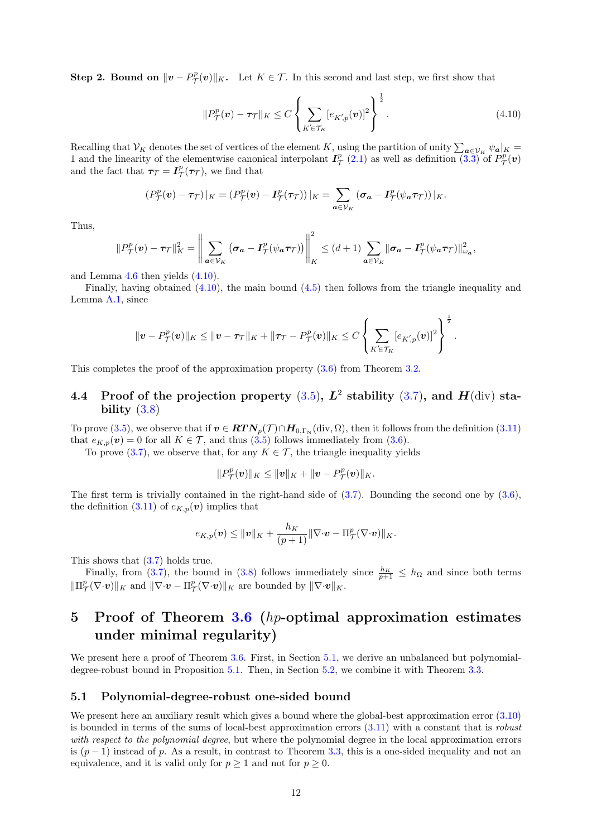**Step 2. Bound on**  $\|\mathbf{v} - P^p_{\mathcal{T}}(\mathbf{v})\|_K$ . Let  $K \in \mathcal{T}$ . In this second and last step, we first show that

<span id="page-12-2"></span>
$$
||P^p_{\mathcal{T}}(\boldsymbol{v}) - \boldsymbol{\tau}_{\mathcal{T}}||_K \le C \left\{ \sum_{K' \in \mathcal{T}_K} [e_{K,p}(\boldsymbol{v})]^2 \right\}^{\frac{1}{2}}.
$$
\n(4.10)

.

Recalling that  $V_K$  denotes the set of vertices of the element K, using the partition of unity  $\sum_{a\in V_K}\psi_a|_K =$ 1 and the linearity of the elementwise canonical interpolant  $I^p_{\tau}(2.1)$  $I^p_{\tau}(2.1)$  as well as definition  $(3.3)$  of  $P^p_{\tau}(v)$ and the fact that  $\tau_{\mathcal{T}} = I_{\mathcal{T}}^p(\tau_{\mathcal{T}})$ , we find that

$$
(P^p_{\mathcal{T}}(\boldsymbol{v}) - \boldsymbol{\tau}_{\mathcal{T}})|_K = (P^p_{\mathcal{T}}(\boldsymbol{v}) - \boldsymbol{I}_{\mathcal{T}}^p(\boldsymbol{\tau}_{\mathcal{T}}))|_K = \sum_{\boldsymbol{a} \in \mathcal{V}_K} (\boldsymbol{\sigma}_{\boldsymbol{a}} - \boldsymbol{I}_{\mathcal{T}}^p(\psi_{\boldsymbol{a}} \boldsymbol{\tau}_{\mathcal{T}}))|_K.
$$

Thus,

$$
||P^p_{\mathcal{T}}(\boldsymbol{v}) - \boldsymbol{\tau}_{\mathcal{T}}||_K^2 = \left\| \sum_{\boldsymbol{a} \in \mathcal{V}_K} (\boldsymbol{\sigma}_{\boldsymbol{a}} - \boldsymbol{I}_{\mathcal{T}}^p(\psi_{\boldsymbol{a}} \boldsymbol{\tau}_{\mathcal{T}})) \right\|_K^2 \leq (d+1) \sum_{\boldsymbol{a} \in \mathcal{V}_K} ||\boldsymbol{\sigma}_{\boldsymbol{a}} - \boldsymbol{I}_{\mathcal{T}}^p(\psi_{\boldsymbol{a}} \boldsymbol{\tau}_{\mathcal{T}})||_{\omega_{\boldsymbol{a}}}^2,
$$

and Lemma [4.6](#page-10-3) then yields [\(4.10\)](#page-12-2).

Finally, having obtained  $(4.10)$ , the main bound  $(4.5)$  then follows from the triangle inequality and Lemma [A.1,](#page-18-1) since

$$
\|\boldsymbol{v}-P_{\mathcal{T}}^{\boldsymbol{p}}(\boldsymbol{v})\|_{K}\leq\|\boldsymbol{v}-\boldsymbol{\tau}_{\mathcal{T}}\|_{K}+\|\boldsymbol{\tau}_{\mathcal{T}}-P_{\mathcal{T}}^{\boldsymbol{p}}(\boldsymbol{v})\|_{K}\leq C\left\{\sum_{K'\in\mathcal{T}_{K}}[e_{K',\boldsymbol{p}}(\boldsymbol{v})]^{2}\right\}^{\frac{1}{2}}
$$

This completes the proof of the approximation property [\(3.6\)](#page-6-6) from Theorem [3.2.](#page-6-0)

### <span id="page-12-1"></span>4.4 Proof of the projection property  $(3.5)$ ,  $L^2$  stability  $(3.7)$ , and  $H(\text{div})$  stability  $(3.8)$

To prove [\(3.5\)](#page-6-7), we observe that if  $v \in \mathbf{RTN}_p(\mathcal{T}) \cap \mathbf{H}_{0,\Gamma_N}(\text{div},\Omega)$ , then it follows from the definition  $(3.11)$ that  $e_{K,p}(v) = 0$  for all  $K \in \mathcal{T}$ , and thus  $(3.5)$  follows immediately from  $(3.6)$ .

To prove [\(3.7\)](#page-6-2), we observe that, for any  $K \in \mathcal{T}$ , the triangle inequality yields

$$
||P^p_{\mathcal{T}}(\bm{v})||_K \le ||\bm{v}||_K + ||\bm{v} - P^p_{\mathcal{T}}(\bm{v})||_K.
$$

The first term is trivially contained in the right-hand side of  $(3.7)$ . Bounding the second one by  $(3.6)$ , the definition [\(3.11\)](#page-7-2) of  $e_{K,p}(v)$  implies that

$$
e_{K,p}(\boldsymbol{v}) \leq \|\boldsymbol{v}\|_K + \frac{h_K}{(p+1)}\|\nabla \cdot \boldsymbol{v} - \Pi_{\mathcal{T}}^p(\nabla \cdot \boldsymbol{v})\|_K.
$$

This shows that [\(3.7\)](#page-6-2) holds true.

Finally, from [\(3.7\)](#page-6-2), the bound in [\(3.8\)](#page-6-3) follows immediately since  $\frac{h_K}{p+1} \leq h_\Omega$  and since both terms  $\|\Pi^p_\mathcal{T}(\nabla \cdot \boldsymbol{v})\|_K$  and  $\|\nabla \cdot \boldsymbol{v} - \Pi^p_\mathcal{T}(\nabla \cdot \boldsymbol{v})\|_K$  are bounded by  $\|\nabla \cdot \boldsymbol{v}\|_K$ .

## <span id="page-12-0"></span>5 Proof of Theorem  $3.6$  (*hp*-optimal approximation estimates under minimal regularity)

We present here a proof of Theorem [3.6.](#page-8-0) First, in Section [5.1,](#page-12-3) we derive an unbalanced but polynomialdegree-robust bound in Proposition [5.1.](#page-13-1) Then, in Section [5.2,](#page-14-0) we combine it with Theorem [3.3.](#page-7-0)

### <span id="page-12-3"></span>5.1 Polynomial-degree-robust one-sided bound

We present here an auxiliary result which gives a bound where the global-best approximation error  $(3.10)$ is bounded in terms of the sums of local-best approximation errors [\(3.11\)](#page-7-2) with a constant that is robust with respect to the polynomial degree, but where the polynomial degree in the local approximation errors is  $(p-1)$  instead of p. As a result, in contrast to Theorem [3.3,](#page-7-0) this is a one-sided inequality and not an equivalence, and it is valid only for  $p \ge 1$  and not for  $p \ge 0$ .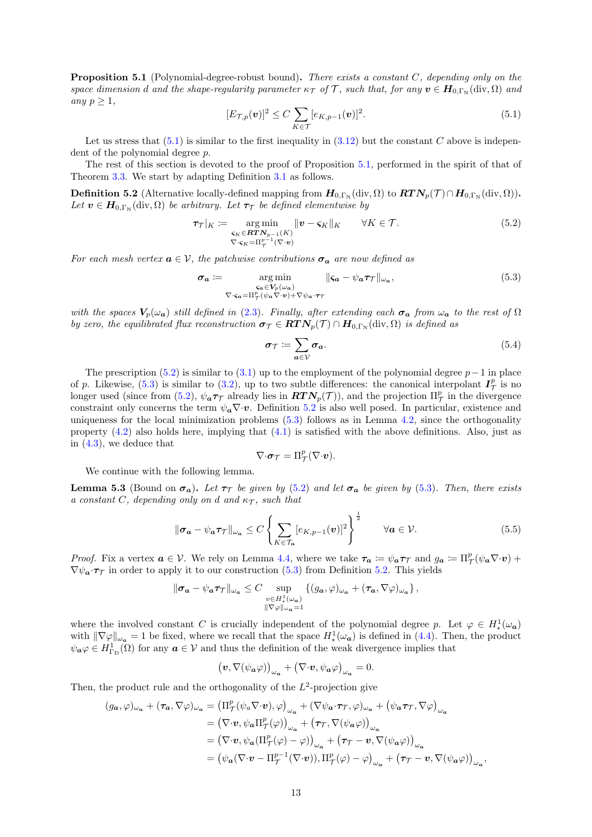<span id="page-13-1"></span>**Proposition 5.1** (Polynomial-degree-robust bound). There exists a constant  $C$ , depending only on the space dimension d and the shape-regularity parameter  $\kappa_T$  of T, such that, for any  $v \in H_{0,\Gamma_N}(\text{div},\Omega)$  and any  $p \geq 1$ ,

<span id="page-13-2"></span>
$$
[E_{\mathcal{T},p}(\boldsymbol{v})]^2 \le C \sum_{K \in \mathcal{T}} [e_{K,p-1}(\boldsymbol{v})]^2. \tag{5.1}
$$

Let us stress that  $(5.1)$  is similar to the first inequality in  $(3.12)$  but the constant C above is independent of the polynomial degree p.

The rest of this section is devoted to the proof of Proposition [5.1,](#page-13-1) performed in the spirit of that of Theorem [3.3.](#page-7-0) We start by adapting Definition [3.1](#page-5-0) as follows.

<span id="page-13-4"></span>**Definition 5.2** (Alternative locally-defined mapping from  $H_{0,\Gamma_N}(\text{div}, \Omega)$  to  $RTN_p(\mathcal{T}) \cap H_{0,\Gamma_N}(\text{div}, \Omega)$ ). Let  $v \in H_{0,\Gamma_{\rm N}}(\text{div}, \Omega)$  be arbitrary. Let  $\tau_{\mathcal{T}}$  be defined elementwise by

<span id="page-13-3"></span>
$$
\tau_{\mathcal{T}}|_K := \underset{\nabla \cdot \mathbf{S}_K = \Pi_{\mathcal{T}}^{p-1}(\nabla \cdot \mathbf{v})}{\arg \min} \|\mathbf{v} - \mathbf{S}_K\|_K \qquad \forall K \in \mathcal{T}.
$$
\n(5.2)

For each mesh vertex  $a \in V$ , the patchwise contributions  $\sigma_a$  are now defined as

<span id="page-13-0"></span>
$$
\sigma_a := \underset{\nabla \cdot \varsigma_a = \Pi^p_T(\psi_a \nabla \cdot \mathbf{v}) + \nabla \psi_a \cdot \tau_T}{\text{arg min}} ||\varsigma_a - \psi_a \tau_T ||_{\omega_a},
$$
\n(5.3)

with the spaces  $V_p(\omega_a)$  still defined in [\(2.3\)](#page-5-3). Finally, after extending each  $\sigma_a$  from  $\omega_a$  to the rest of  $\Omega$ by zero, the equilibrated flux reconstruction  $\sigma_{\mathcal{T}} \in RTN_p(\mathcal{T}) \cap H_{0,\Gamma_N}(\text{div},\Omega)$  is defined as

$$
\sigma_{\mathcal{T}} \coloneqq \sum_{a \in \mathcal{V}} \sigma_a. \tag{5.4}
$$

The prescription [\(5.2\)](#page-13-3) is similar to [\(3.1\)](#page-5-4) up to the employment of the polynomial degree  $p-1$  in place of p. Likewise,  $(5.3)$  is similar to  $(3.2)$ , up to two subtle differences: the canonical interpolant  $I^p_\mathcal{T}$  is no longer used (since from [\(5.2\)](#page-13-3),  $\psi_a \tau_\mathcal{T}$  already lies in  $\mathbf{RTN}_p(\mathcal{T})$ ), and the projection  $\Pi_\mathcal{T}^p$  in the divergence constraint only concerns the term  $\psi_{\alpha} \nabla \cdot v$ . Definition [5.2](#page-13-4) is also well posed. In particular, existence and uniqueness for the local minimization problems [\(5.3\)](#page-13-0) follows as in Lemma [4.2,](#page-8-6) since the orthogonality property [\(4.2\)](#page-8-7) also holds here, implying that [\(4.1\)](#page-8-4) is satisfied with the above definitions. Also, just as in [\(4.3\)](#page-9-5), we deduce that

$$
\nabla \cdot \boldsymbol{\sigma}_{\mathcal{T}} = \Pi^p_{\mathcal{T}}(\nabla \cdot \boldsymbol{v}).
$$

We continue with the following lemma.

<span id="page-13-6"></span>**Lemma 5.3** (Bound on  $\sigma_a$ ). Let  $\tau_{\mathcal{T}}$  be given by [\(5.2\)](#page-13-3) and let  $\sigma_a$  be given by [\(5.3\)](#page-13-0). Then, there exists a constant C, depending only on d and  $\kappa_{\mathcal{T}}$ , such that

<span id="page-13-5"></span>
$$
\|\boldsymbol{\sigma_a} - \psi_{\boldsymbol{a}} \boldsymbol{\tau}_{\mathcal{T}}\|_{\omega_{\boldsymbol{a}}} \le C \left\{ \sum_{K \in \mathcal{T}_{\boldsymbol{a}}} [e_{K, p-1}(\boldsymbol{v})]^2 \right\}^{\frac{1}{2}} \qquad \forall \boldsymbol{a} \in \mathcal{V}.
$$
 (5.5)

*Proof.* Fix a vertex  $a \in V$ . We rely on Lemma [4.4,](#page-9-0) where we take  $\tau_a := \psi_a \tau_{\mathcal{T}}$  and  $g_a := \Pi_{\mathcal{T}}^p(\psi_a \nabla \cdot v)$  +  $\nabla \psi_a \cdot \tau_\mathcal{T}$  in order to apply it to our construction [\(5.3\)](#page-13-0) from Definition [5.2.](#page-13-4) This yields

$$
\|\sigma_a - \psi_a \tau_{\mathcal{T}}\|_{\omega_a} \leq C \sup_{\substack{v \in H^1_*(\omega_a) \\ ||\nabla \varphi||_{\omega_a} = 1}} \left\{ (g_a, \varphi)_{\omega_a} + (\tau_a, \nabla \varphi)_{\omega_a} \right\},\,
$$

where the involved constant C is crucially independent of the polynomial degree p. Let  $\varphi \in H^1_*(\omega_a)$ with  $\|\nabla\varphi\|_{\omega_a} = 1$  be fixed, where we recall that the space  $H^1_*(\omega_a)$  is defined in [\(4.4\)](#page-9-3). Then, the product  $\psi_{\boldsymbol{\alpha}}\varphi \in H^1_{\Gamma_{\rm D}}(\Omega)$  for any  $\boldsymbol{\alpha} \in \mathcal{V}$  and thus the definition of the weak divergence implies that

$$
(\boldsymbol{v}, \nabla(\psi_{\boldsymbol{a}}\varphi))_{\omega_{\boldsymbol{a}}} + (\nabla \cdot \boldsymbol{v}, \psi_{\boldsymbol{a}}\varphi)_{\omega_{\boldsymbol{a}}} = 0.
$$

Then, the product rule and the orthogonality of the  $L^2$ -projection give

$$
(g_{a}, \varphi)_{\omega_{a}} + (\tau_{a}, \nabla \varphi)_{\omega_{a}} = (\Pi_{\mathcal{T}}^{p}(\psi_{a} \nabla \cdot \mathbf{v}), \varphi)_{\omega_{a}} + (\nabla \psi_{a} \cdot \tau_{\mathcal{T}}, \varphi)_{\omega_{a}} + (\psi_{a} \tau_{\mathcal{T}}, \nabla \varphi)_{\omega_{a}}
$$
  
\n
$$
= (\nabla \cdot \mathbf{v}, \psi_{a} \Pi_{\mathcal{T}}^{p}(\varphi))_{\omega_{a}} + (\tau_{\mathcal{T}}, \nabla(\psi_{a} \varphi))_{\omega_{a}}
$$
  
\n
$$
= (\nabla \cdot \mathbf{v}, \psi_{a} (\Pi_{\mathcal{T}}^{p}(\varphi) - \varphi))_{\omega_{a}} + (\tau_{\mathcal{T}} - \mathbf{v}, \nabla(\psi_{a} \varphi))_{\omega_{a}}
$$
  
\n
$$
= (\psi_{a} (\nabla \cdot \mathbf{v} - \Pi_{\mathcal{T}}^{p-1}(\nabla \cdot \mathbf{v})), \Pi_{\mathcal{T}}^{p}(\varphi) - \varphi)_{\omega_{a}} + (\tau_{\mathcal{T}} - \mathbf{v}, \nabla(\psi_{a} \varphi))_{\omega_{a}},
$$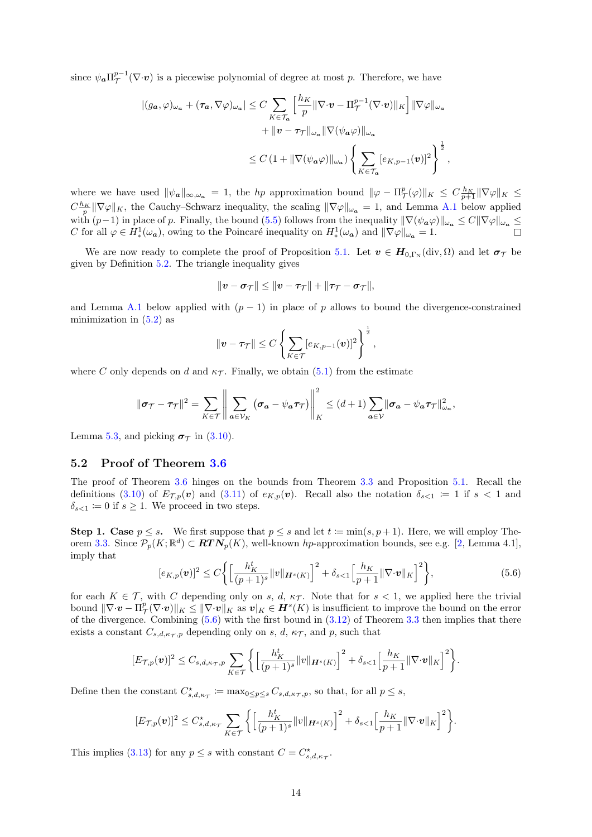since  $\psi_{a} \Pi_{\mathcal{T}}^{p-1}(\nabla \cdot \mathbf{v})$  is a piecewise polynomial of degree at most p. Therefore, we have

$$
\begin{split} |(g_{\mathbf{a}},\varphi)_{\omega_{\mathbf{a}}} + (\tau_{\mathbf{a}},\nabla\varphi)_{\omega_{\mathbf{a}}}| &\leq C \sum_{K\in\mathcal{T}_{\mathbf{a}}}\Big[\frac{h_K}{p}\|\nabla\cdot\boldsymbol{v} - \Pi_{\mathcal{T}}^{p-1}(\nabla\cdot\boldsymbol{v})\|_{K}\Big] \|\nabla\varphi\|_{\omega_{\mathbf{a}}} \\ &\quad + \| \boldsymbol{v} - \tau_{\mathcal{T}}\|_{\omega_{\mathbf{a}}}\|\nabla(\psi_{\mathbf{a}}\varphi)\|_{\omega_{\mathbf{a}}} \\ &\leq C\left(1 + \|\nabla(\psi_{\mathbf{a}}\varphi)\|_{\omega_{\mathbf{a}}}\right) \left\{\sum_{K\in\mathcal{T}_{\mathbf{a}}}[e_{K,p-1}(\boldsymbol{v})]^{2}\right\}^{\frac{1}{2}}, \end{split}
$$

where we have used  $\|\psi_{a}\|_{\infty,\omega_{a}} = 1$ , the hp approximation bound  $\|\varphi - \Pi_{\mathcal{T}}^{p}(\varphi)\|_{K} \leq C \frac{h_K}{p+1} \|\nabla \varphi\|_{K} \leq$  $C_{\frac{h_K}{p}}^{\frac{h_K}{p}} \|\nabla \varphi\|_K$ , the Cauchy–Schwarz inequality, the scaling  $\|\nabla \varphi\|_{\omega_a} = 1$ , and Lemma [A.1](#page-18-1) below applied  $\bigcirc_{p} \|\nabla \varphi\|_{K}$ , the Salachy Schwarz mequality, the seaming  $\|\nabla \psi\|_{\omega_a} = 1$ , and Echinia 11.1 Selow applied with  $(p-1)$  in place of p. Finally, the bound [\(5.5\)](#page-13-5) follows from the inequality  $\|\nabla(\psi_a\varphi)\|_{\omega_a} \leq C$ C for all  $\varphi \in H^1_*(\omega_a)$ , owing to the Poincaré inequality on  $H^1_*(\omega_a)$  and  $\|\nabla \varphi\|_{\omega_a} = 1$ .

We are now ready to complete the proof of Proposition [5.1.](#page-13-1) Let  $v \in H_{0,\Gamma_N}(\text{div}, \Omega)$  and let  $\sigma_{\mathcal{T}}$  be given by Definition [5.2.](#page-13-4) The triangle inequality gives

$$
\|\bm{v}-\bm{\sigma}_{\mathcal{T}}\| \leq \|\bm{v}-\bm{\tau}_{\mathcal{T}}\| + \|\bm{\tau}_{\mathcal{T}}-\bm{\sigma}_{\mathcal{T}}\|,
$$

and Lemma [A.1](#page-18-1) below applied with  $(p - 1)$  in place of p allows to bound the divergence-constrained minimization in  $(5.2)$  as

$$
\|\boldsymbol{v}-\boldsymbol{\tau}_{\mathcal{T}}\| \leq C \left\{\sum_{K\in\mathcal{T}}[e_{K,p-1}(\boldsymbol{v})]^2\right\}^{\frac{1}{2}},
$$

where C only depends on d and  $\kappa_{\mathcal{T}}$ . Finally, we obtain [\(5.1\)](#page-13-2) from the estimate

$$
\|\boldsymbol{\sigma}_{\mathcal{T}} - \boldsymbol{\tau}_{\mathcal{T}}\|^2 = \sum_{K \in \mathcal{T}} \left\| \sum_{\boldsymbol{a} \in \mathcal{V}_K} (\boldsymbol{\sigma}_{\boldsymbol{a}} - \psi_{\boldsymbol{a}} \boldsymbol{\tau}_{\mathcal{T}}) \right\|_K^2 \leq (d+1) \sum_{\boldsymbol{a} \in \mathcal{V}} \|\boldsymbol{\sigma}_{\boldsymbol{a}} - \psi_{\boldsymbol{a}} \boldsymbol{\tau}_{\mathcal{T}}\|^2_{\omega_{\boldsymbol{a}}},
$$

Lemma [5.3,](#page-13-6) and picking  $\sigma_{\mathcal{T}}$  in [\(3.10\)](#page-7-1).

### <span id="page-14-0"></span>5.2 Proof of Theorem [3.6](#page-8-0)

The proof of Theorem [3.6](#page-8-0) hinges on the bounds from Theorem [3.3](#page-7-0) and Proposition [5.1.](#page-13-1) Recall the definitions [\(3.10\)](#page-7-1) of  $E_{\mathcal{T},p}(\mathbf{v})$  and [\(3.11\)](#page-7-2) of  $e_{K,p}(\mathbf{v})$ . Recall also the notation  $\delta_{s-1} := 1$  if  $s < 1$  and  $\delta_{s<1} \coloneqq 0$  if  $s \geq 1$ . We proceed in two steps.

**Step 1. Case**  $p \leq s$ . We first suppose that  $p \leq s$  and let  $t := \min(s, p + 1)$ . Here, we will employ The-orem [3.3.](#page-7-0) Since  $\mathcal{P}_p(K;\mathbb{R}^d) \subset \mathbf{RTN}_p(K)$ , well-known hp-approximation bounds, see e.g. [\[2,](#page-19-16) Lemma 4.1], imply that

<span id="page-14-1"></span>
$$
[e_{K,p}(\mathbf{v})]^2 \le C \Bigg\{ \Big[ \frac{h_K^t}{(p+1)^s} ||v||_{\mathbf{H}^s(K)} \Big]^2 + \delta_{s<1} \Big[ \frac{h_K}{p+1} ||\nabla \cdot \mathbf{v}||_K \Big]^2 \Bigg\},\tag{5.6}
$$

for each  $K \in \mathcal{T}$ , with C depending only on s, d,  $\kappa_{\mathcal{T}}$ . Note that for  $s < 1$ , we applied here the trivial bound  $\|\nabla \cdot \bm{v} - \Pi_{\mathcal{T}}^p(\nabla \cdot \bm{v})\|_K \leq \|\nabla \cdot \bm{v}\|_K$  as  $\bm{v}|_K \in \bm{H}^s(K)$  is insufficient to improve the bound on the error of the divergence. Combining  $(5.6)$  with the first bound in  $(3.12)$  of Theorem [3.3](#page-7-0) then implies that there exists a constant  $C_{s,d,\kappa_{\mathcal{T}},p}$  depending only on s, d,  $\kappa_{\mathcal{T}}$ , and p, such that

$$
[E_{\mathcal{T},p}(\boldsymbol{v})]^2 \leq C_{s,d,\kappa_{\mathcal{T}},p} \sum_{K \in \mathcal{T}} \Big\{ \Big[ \frac{h_K^t}{(p+1)^s} ||v||_{\boldsymbol{H}^s(K)} \Big]^2 + \delta_{s<1} \Big[ \frac{h_K}{p+1} ||\nabla \cdot \boldsymbol{v}||_K \Big]^2 \Big\}.
$$

Define then the constant  $C_{s,d,\kappa_{\mathcal{T}}}^* := \max_{0 \leq p \leq s} C_{s,d,\kappa_{\mathcal{T}},p}$ , so that, for all  $p \leq s$ ,

$$
[E_{\mathcal{T},p}(\boldsymbol{v})]^2 \leq C_{s,d,\kappa_{\mathcal{T}}}^{\star} \sum_{K \in \mathcal{T}} \bigg\{ \Big[ \frac{h_K^t}{(p+1)^s} ||v||_{\boldsymbol{H}^s(K)} \Big]^2 + \delta_{s<1} \Big[ \frac{h_K}{p+1} ||\nabla \cdot \boldsymbol{v}||_K \Big]^2 \bigg\}.
$$

This implies [\(3.13\)](#page-8-3) for any  $p \leq s$  with constant  $C = C^*_{s,d,\kappa_{\mathcal{T}}}$ .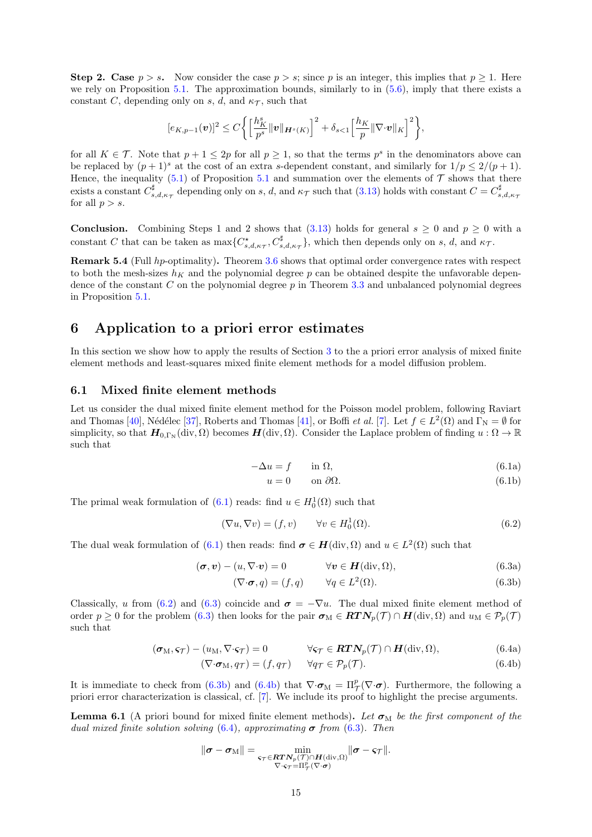**Step 2. Case**  $p > s$ . Now consider the case  $p > s$ ; since p is an integer, this implies that  $p \ge 1$ . Here we rely on Proposition [5.1.](#page-13-1) The approximation bounds, similarly to in  $(5.6)$ , imply that there exists a constant C, depending only on s, d, and  $\kappa_{\mathcal{T}}$ , such that

$$
[e_{K,p-1}(v)]^2 \leq C \bigg\{ \bigg[ \frac{h_K^s}{p^s} ||v||_{\mathbf{H}^s(K)} \bigg]^2 + \delta_{s<1} \bigg[ \frac{h_K}{p} ||\nabla \cdot v||_K \bigg]^2 \bigg\},\
$$

for all  $K \in \mathcal{T}$ . Note that  $p + 1 \leq 2p$  for all  $p \geq 1$ , so that the terms  $p^s$  in the denominators above can be replaced by  $(p+1)^s$  at the cost of an extra s-dependent constant, and similarly for  $1/p \leq 2/(p+1)$ . Hence, the inequality  $(5.1)$  $(5.1)$  $(5.1)$  of Proposition 5.1 and summation over the elements of  $\mathcal T$  shows that there exists a constant  $C_{s,d,\kappa\tau}^{\sharp}$  depending only on s, d, and  $\kappa\tau$  such that [\(3.13\)](#page-8-3) holds with constant  $C = C_{s,d,\kappa\tau}^{\sharp}$ for all  $p > s$ .

**Conclusion.** Combining Steps 1 and 2 shows that  $(3.13)$  holds for general  $s \ge 0$  and  $p \ge 0$  with a constant C that can be taken as  $\max\{C_{s,d,\kappa_{\mathcal{T}}}^{\star}, C_{s,d,\kappa_{\mathcal{T}}}^{\sharp}\}$ , which then depends only on s, d, and  $\kappa_{\mathcal{T}}$ .

Remark 5.4 (Full hp-optimality). Theorem [3.6](#page-8-0) shows that optimal order convergence rates with respect to both the mesh-sizes  $h_K$  and the polynomial degree p can be obtained despite the unfavorable dependence of the constant  $C$  on the polynomial degree  $p$  in Theorem [3.3](#page-7-0) and unbalanced polynomial degrees in Proposition [5.1.](#page-13-1)

### <span id="page-15-1"></span>6 Application to a priori error estimates

In this section we show how to apply the results of Section [3](#page-5-1) to the a priori error analysis of mixed finite element methods and least-squares mixed finite element methods for a model diffusion problem.

#### 6.1 Mixed finite element methods

<span id="page-15-2"></span>Let us consider the dual mixed finite element method for the Poisson model problem, following Raviart and Thomas [\[40\]](#page-20-17), Nédélec [\[37\]](#page-20-18), Roberts and Thomas [\[41\]](#page-21-5), or Boffi *et al.* [\[7\]](#page-19-17). Let  $f \in L^2(\Omega)$  and  $\Gamma_N = \emptyset$  for simplicity, so that  $\mathbf{H}_{0,\Gamma_{\mathbb{N}}}(\text{div},\Omega)$  becomes  $\mathbf{H}(\text{div},\Omega)$ . Consider the Laplace problem of finding  $u:\Omega\to\mathbb{R}$ such that

$$
-\Delta u = f \qquad \text{in } \Omega,\tag{6.1a}
$$

<span id="page-15-9"></span><span id="page-15-8"></span><span id="page-15-5"></span><span id="page-15-4"></span>
$$
u = 0 \qquad \text{on } \partial\Omega. \tag{6.1b}
$$

The primal weak formulation of  $(6.1)$  reads: find  $u \in H_0^1(\Omega)$  such that

<span id="page-15-3"></span>
$$
(\nabla u, \nabla v) = (f, v) \qquad \forall v \in H_0^1(\Omega). \tag{6.2}
$$

The dual weak formulation of [\(6.1\)](#page-15-2) then reads: find  $\sigma \in H(\text{div}, \Omega)$  and  $u \in L^2(\Omega)$  such that

$$
(\boldsymbol{\sigma}, \boldsymbol{v}) - (u, \nabla \cdot \boldsymbol{v}) = 0 \qquad \forall \boldsymbol{v} \in \boldsymbol{H}(\text{div}, \Omega), \tag{6.3a}
$$

<span id="page-15-6"></span>
$$
(\nabla \cdot \boldsymbol{\sigma}, q) = (f, q) \qquad \forall q \in L^{2}(\Omega). \tag{6.3b}
$$

Classically, u from [\(6.2\)](#page-15-3) and [\(6.3\)](#page-15-4) coincide and  $\sigma = -\nabla u$ . The dual mixed finite element method of order  $p \ge 0$  for the problem [\(6.3\)](#page-15-4) then looks for the pair  $\sigma_M \in RTN_p(\mathcal{T}) \cap H(\text{div}, \Omega)$  and  $u_M \in \mathcal{P}_p(\mathcal{T})$ such that

<span id="page-15-7"></span>
$$
(\boldsymbol{\sigma}_{M}, \boldsymbol{\varsigma}_{\mathcal{T}}) - (u_{M}, \nabla \cdot \boldsymbol{\varsigma}_{\mathcal{T}}) = 0 \qquad \forall \boldsymbol{\varsigma}_{\mathcal{T}} \in \boldsymbol{RTN}_{p}(\mathcal{T}) \cap \boldsymbol{H}(\text{div}, \Omega), \tag{6.4a}
$$

$$
(\nabla \cdot \boldsymbol{\sigma}_{M}, q_{\mathcal{T}}) = (f, q_{\mathcal{T}}) \qquad \forall q_{\mathcal{T}} \in \mathcal{P}_{p}(\mathcal{T}). \tag{6.4b}
$$

It is immediate to check from [\(6.3b\)](#page-15-5) and [\(6.4b\)](#page-15-6) that  $\nabla \cdot \boldsymbol{\sigma}_M = \Pi_{\boldsymbol{\mathcal{T}}}^p(\nabla \cdot \boldsymbol{\sigma})$ . Furthermore, the following a priori error characterization is classical, cf. [\[7\]](#page-19-17). We include its proof to highlight the precise arguments.

<span id="page-15-0"></span>**Lemma 6.1** (A priori bound for mixed finite element methods). Let  $\sigma_M$  be the first component of the dual mixed finite solution solving [\(6.4\)](#page-15-7), approximating  $\sigma$  from [\(6.3\)](#page-15-4). Then

$$
\|\boldsymbol{\sigma}-\boldsymbol{\sigma}_\mathrm{M}\|=\min_{\substack{\boldsymbol{\varsigma}_{\mathcal{T}}\in \boldsymbol{R}\boldsymbol{T}\boldsymbol{N}_p(\mathcal{T})\cap\boldsymbol{H}(\mathrm{div},\Omega)\\ \nabla\cdot\boldsymbol{\varsigma}_{\mathcal{T}}=\Pi^p_{\mathcal{T}}(\nabla\cdot\boldsymbol{\sigma})}}\|\boldsymbol{\sigma}-\boldsymbol{\varsigma}_{\mathcal{T}}\|.
$$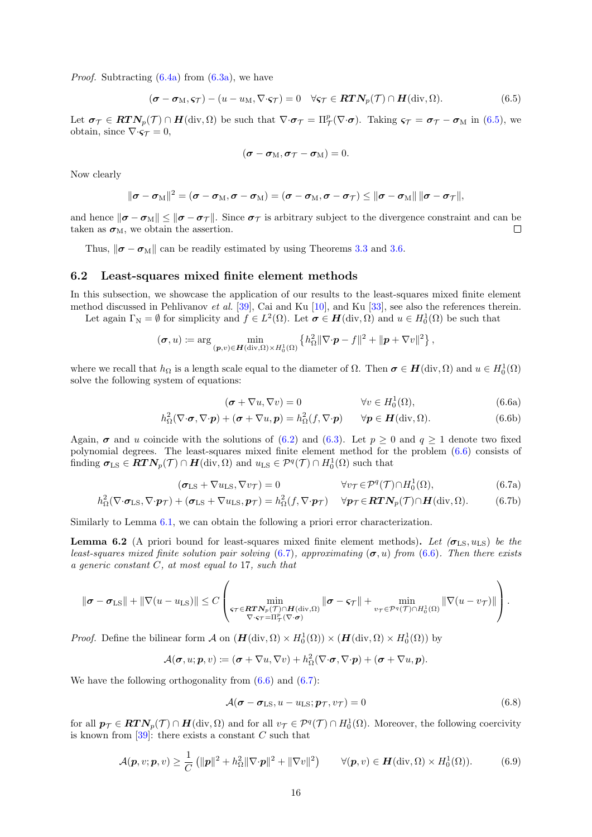*Proof.* Subtracting  $(6.4a)$  from  $(6.3a)$ , we have

<span id="page-16-0"></span>
$$
(\boldsymbol{\sigma} - \boldsymbol{\sigma}_{M}, \varsigma_{\mathcal{T}}) - (u - u_{M}, \nabla \cdot \varsigma_{\mathcal{T}}) = 0 \quad \forall \varsigma_{\mathcal{T}} \in \boldsymbol{RTN}_{p}(\mathcal{T}) \cap \boldsymbol{H}(\text{div}, \Omega).
$$
 (6.5)

Let  $\sigma_{\mathcal{T}} \in \mathbf{R} \mathbf{T} \mathbf{N}_p(\mathcal{T}) \cap \mathbf{H}(\text{div}, \Omega)$  be such that  $\nabla \cdot \sigma_{\mathcal{T}} = \Pi^p_{\mathcal{T}}(\nabla \cdot \sigma)$ . Taking  $\varsigma_{\mathcal{T}} = \sigma_{\mathcal{T}} - \sigma_{\text{M}}$  in [\(6.5\)](#page-16-0), we obtain, since  $\nabla \cdot \mathbf{s} = 0$ ,

$$
(\boldsymbol{\sigma}-\boldsymbol{\sigma}_{M},\boldsymbol{\sigma}_{\mathcal{T}}-\boldsymbol{\sigma}_{M})=0.
$$

Now clearly

$$
\|\boldsymbol{\sigma}-\boldsymbol{\sigma}_\mathrm{M}\|^2=(\boldsymbol{\sigma}-\boldsymbol{\sigma}_\mathrm{M},\boldsymbol{\sigma}-\boldsymbol{\sigma}_\mathrm{M})=(\boldsymbol{\sigma}-\boldsymbol{\sigma}_\mathrm{M},\boldsymbol{\sigma}-\boldsymbol{\sigma}_\mathcal{T})\leq\|\boldsymbol{\sigma}-\boldsymbol{\sigma}_\mathrm{M}\|\|\boldsymbol{\sigma}-\boldsymbol{\sigma}_\mathcal{T}\|,
$$

and hence  $\|\sigma - \sigma_M\| \le \|\sigma - \sigma_T\|$ . Since  $\sigma_T$  is arbitrary subject to the divergence constraint and can be taken as  $\sigma_M$ , we obtain the assertion. П

Thus,  $\|\boldsymbol{\sigma} - \boldsymbol{\sigma}_{M}\|$  can be readily estimated by using Theorems [3.3](#page-7-0) and [3.6.](#page-8-0)

#### 6.2 Least-squares mixed finite element methods

In this subsection, we showcase the application of our results to the least-squares mixed finite element method discussed in Pehlivanov et al. [\[39\]](#page-20-19), Cai and Ku [\[10\]](#page-19-18), and Ku [\[33\]](#page-20-20), see also the references therein.

Let again  $\Gamma_{\mathbb{N}} = \emptyset$  for simplicity and  $f \in L^2(\Omega)$ . Let  $\sigma \in H(\text{div}, \Omega)$  and  $u \in H_0^1(\Omega)$  be such that

$$
(\boldsymbol{\sigma},u) \coloneqq \arg\min_{(\boldsymbol{p},v)\in\boldsymbol{H}(\text{div},\Omega)\times H_0^1(\Omega)} \left\{h_{\Omega}^2\|\nabla\cdot\boldsymbol{p}-f\|^2+\|\boldsymbol{p}+\nabla v\|^2\right\},\
$$

where we recall that  $h_{\Omega}$  is a length scale equal to the diameter of  $\Omega$ . Then  $\sigma \in H(\text{div}, \Omega)$  and  $u \in H_0^1(\Omega)$ solve the following system of equations:

<span id="page-16-7"></span><span id="page-16-6"></span><span id="page-16-2"></span><span id="page-16-1"></span>
$$
(\boldsymbol{\sigma} + \nabla u, \nabla v) = 0 \qquad \qquad \forall v \in H_0^1(\Omega), \tag{6.6a}
$$

$$
h_{\Omega}^{2}(\nabla \cdot \boldsymbol{\sigma}, \nabla \cdot \boldsymbol{p}) + (\boldsymbol{\sigma} + \nabla u, \boldsymbol{p}) = h_{\Omega}^{2}(f, \nabla \cdot \boldsymbol{p}) \qquad \forall \boldsymbol{p} \in \boldsymbol{H}(\text{div}, \Omega).
$$
 (6.6b)

Again,  $\sigma$  and u coincide with the solutions of [\(6.2\)](#page-15-3) and [\(6.3\)](#page-15-4). Let  $p \ge 0$  and  $q \ge 1$  denote two fixed polynomial degrees. The least-squares mixed finite element method for the problem [\(6.6\)](#page-16-1) consists of finding  $\sigma_{LS} \in RTN_p(\mathcal{T}) \cap H(\text{div}, \Omega)$  and  $u_{LS} \in \mathcal{P}^q(\mathcal{T}) \cap H_0^1(\Omega)$  such that

$$
(\sigma_{LS} + \nabla u_{LS}, \nabla v_{\mathcal{T}}) = 0 \qquad \forall v_{\mathcal{T}} \in \mathcal{P}^q(\mathcal{T}) \cap H_0^1(\Omega), \tag{6.7a}
$$

$$
h_{\Omega}^{2}(\nabla \cdot \boldsymbol{\sigma}_{\text{LS}}, \nabla \cdot \boldsymbol{p}_{\mathcal{T}}) + (\boldsymbol{\sigma}_{\text{LS}} + \nabla u_{\text{LS}}, \boldsymbol{p}_{\mathcal{T}}) = h_{\Omega}^{2}(f, \nabla \cdot \boldsymbol{p}_{\mathcal{T}}) \quad \forall \boldsymbol{p}_{\mathcal{T}} \in \boldsymbol{R} \boldsymbol{T} \boldsymbol{N}_{p}(\mathcal{T}) \cap \boldsymbol{H}(\text{div}, \Omega). \tag{6.7b}
$$

Similarly to Lemma [6.1,](#page-15-0) we can obtain the following a priori error characterization.

<span id="page-16-5"></span>**Lemma 6.2** (A priori bound for least-squares mixed finite element methods). Let  $(\sigma_{LS}, u_{LS})$  be the least-squares mixed finite solution pair solving [\(6.7\)](#page-16-2), approximating ( $\sigma$ , u) from [\(6.6\)](#page-16-1). Then there exists a generic constant  $C$ , at most equal to 17, such that

$$
\|\boldsymbol{\sigma}-\boldsymbol{\sigma}_{\text{LS}}\|+\|\nabla(u-u_{\text{LS}})\| \leq C \left(\min_{\substack{\boldsymbol{\varsigma}_{\mathcal{T}} \in \boldsymbol{R} \boldsymbol{T} \boldsymbol{N}_p(\mathcal{T}) \cap \boldsymbol{H}(\text{div},\Omega) \\ \nabla \cdot \boldsymbol{\varsigma}_{\mathcal{T}} = \Pi_\mathcal{T}^p(\nabla \cdot \boldsymbol{\sigma})}} \|\boldsymbol{\sigma}-\boldsymbol{\varsigma}_{\mathcal{T}}\| + \min_{v_{\mathcal{T}} \in \mathcal{P}^q(\mathcal{T}) \cap \boldsymbol{H}_0^1(\Omega)} \|\nabla(u-v_{\mathcal{T}})\| \right).
$$

*Proof.* Define the bilinear form  $\mathcal A$  on  $(H(\text{div}, \Omega) \times H_0^1(\Omega)) \times (H(\text{div}, \Omega) \times H_0^1(\Omega))$  by

$$
\mathcal{A}(\boldsymbol{\sigma},u;\boldsymbol{p},v) \coloneqq (\boldsymbol{\sigma} + \nabla u,\nabla v) + h_{\Omega}^2(\nabla \cdot \boldsymbol{\sigma},\nabla \cdot \boldsymbol{p}) + (\boldsymbol{\sigma} + \nabla u,\boldsymbol{p}).
$$

We have the following orthogonality from  $(6.6)$  and  $(6.7)$ :

<span id="page-16-4"></span>
$$
\mathcal{A}(\boldsymbol{\sigma} - \boldsymbol{\sigma}_{LS}, u - u_{LS}; \boldsymbol{p}_{\mathcal{T}}, v_{\mathcal{T}}) = 0 \tag{6.8}
$$

for all  $p_{\mathcal{T}} \in \mathbf{RTN}_p(\mathcal{T}) \cap \mathbf{H}(\text{div}, \Omega)$  and for all  $v_{\mathcal{T}} \in \mathcal{P}^q(\mathcal{T}) \cap \mathbf{H}_0^1(\Omega)$ . Moreover, the following coercivity is known from  $[39]$ : there exists a constant C such that

<span id="page-16-3"></span>
$$
\mathcal{A}(\boldsymbol{p}, v; \boldsymbol{p}, v) \geq \frac{1}{C} \left( \|\boldsymbol{p}\|^2 + h_{\Omega}^2 \|\nabla \cdot \boldsymbol{p}\|^2 + \|\nabla v\|^2 \right) \qquad \forall (\boldsymbol{p}, v) \in \boldsymbol{H}(\text{div}, \Omega) \times H_0^1(\Omega)). \tag{6.9}
$$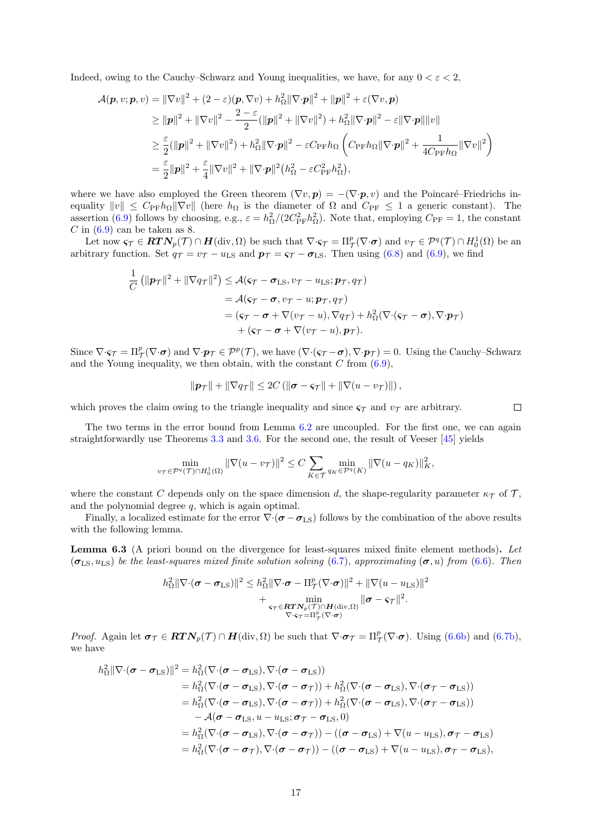Indeed, owing to the Cauchy–Schwarz and Young inequalities, we have, for any  $0 < \varepsilon < 2$ ,

$$
\mathcal{A}(\boldsymbol{p}, v; \boldsymbol{p}, v) = \|\nabla v\|^2 + (2 - \varepsilon)(\boldsymbol{p}, \nabla v) + h_{\Omega}^2 \|\nabla \cdot \boldsymbol{p}\|^2 + \|\boldsymbol{p}\|^2 + \varepsilon(\nabla v, \boldsymbol{p})
$$
  
\n
$$
\geq \|\boldsymbol{p}\|^2 + \|\nabla v\|^2 - \frac{2 - \varepsilon}{2} (\|\boldsymbol{p}\|^2 + \|\nabla v\|^2) + h_{\Omega}^2 \|\nabla \cdot \boldsymbol{p}\|^2 - \varepsilon \|\nabla \cdot \boldsymbol{p}\| \|v\|
$$
  
\n
$$
\geq \frac{\varepsilon}{2} (\|\boldsymbol{p}\|^2 + \|\nabla v\|^2) + h_{\Omega}^2 \|\nabla \cdot \boldsymbol{p}\|^2 - \varepsilon C_{\text{PF}} h_{\Omega} \left( C_{\text{PF}} h_{\Omega} \|\nabla \cdot \boldsymbol{p}\|^2 + \frac{1}{4C_{\text{PF}} h_{\Omega}} \|\nabla v\|^2 \right)
$$
  
\n
$$
= \frac{\varepsilon}{2} \|\boldsymbol{p}\|^2 + \frac{\varepsilon}{4} \|\nabla v\|^2 + \|\nabla \cdot \boldsymbol{p}\|^2 (h_{\Omega}^2 - \varepsilon C_{\text{PF}}^2 h_{\Omega}^2),
$$

where we have also employed the Green theorem  $(\nabla v, \mathbf{p}) = -(\nabla \cdot \mathbf{p}, v)$  and the Poincaré–Friedrichs inequality  $||v|| \leq C_{\text{PF}} h_{\Omega} ||\nabla v||$  (here  $h_{\Omega}$  is the diameter of  $\Omega$  and  $C_{\text{PF}} \leq 1$  a generic constant). The assertion [\(6.9\)](#page-16-3) follows by choosing, e.g.,  $\varepsilon = h_{\Omega}^2/(2C_{\rm PF}^2 h_{\Omega}^2)$ . Note that, employing  $C_{\rm PF} = 1$ , the constant  $C$  in  $(6.9)$  can be taken as 8.

Let now  $\varsigma_{\mathcal{T}} \in \mathbf{RTN}_p(\mathcal{T}) \cap \mathbf{H}(\text{div}, \Omega)$  be such that  $\nabla \cdot \varsigma_{\mathcal{T}} = \Pi_{\mathcal{T}}^p(\nabla \cdot \boldsymbol{\sigma})$  and  $v_{\mathcal{T}} \in \mathcal{P}^q(\mathcal{T}) \cap H_0^1(\Omega)$  be an arbitrary function. Set  $q_{\mathcal{T}} = v_{\mathcal{T}} - u_{\text{LS}}$  and  $p_{\mathcal{T}} = \varsigma_{\mathcal{T}} - \sigma_{\text{LS}}$ . Then using [\(6.8\)](#page-16-4) and [\(6.9\)](#page-16-3), we find

$$
\frac{1}{C} \left( \| \mathbf{p}_{\mathcal{T}} \|^2 + \| \nabla q_{\mathcal{T}} \|^2 \right) \leq \mathcal{A}(\mathbf{s}_{\mathcal{T}} - \boldsymbol{\sigma}_{\mathrm{LS}}, v_{\mathcal{T}} - u_{\mathrm{LS}}; \mathbf{p}_{\mathcal{T}}, q_{\mathcal{T}})
$$
\n
$$
= \mathcal{A}(\mathbf{s}_{\mathcal{T}} - \boldsymbol{\sigma}, v_{\mathcal{T}} - u; \mathbf{p}_{\mathcal{T}}, q_{\mathcal{T}})
$$
\n
$$
= (\mathbf{s}_{\mathcal{T}} - \boldsymbol{\sigma} + \nabla(v_{\mathcal{T}} - u), \nabla q_{\mathcal{T}}) + h_{\Omega}^2 (\nabla \cdot (\mathbf{s}_{\mathcal{T}} - \boldsymbol{\sigma}), \nabla \cdot \mathbf{p}_{\mathcal{T}})
$$
\n
$$
+ (\mathbf{s}_{\mathcal{T}} - \boldsymbol{\sigma} + \nabla(v_{\mathcal{T}} - u), \mathbf{p}_{\mathcal{T}}).
$$

Since  $\nabla \cdot \mathbf{s}_{\mathcal{T}} = \Pi_{\mathcal{T}}^p(\nabla \cdot \mathbf{\sigma})$  and  $\nabla \cdot \mathbf{p}_{\mathcal{T}} \in \mathcal{P}^p(\mathcal{T})$ , we have  $(\nabla \cdot (\mathbf{s}_{\mathcal{T}} - \mathbf{\sigma}), \nabla \cdot \mathbf{p}_{\mathcal{T}}) = 0$ . Using the Cauchy–Schwarz and the Young inequality, we then obtain, with the constant  $C$  from  $(6.9)$ ,

$$
\|\boldsymbol{p}_{\mathcal{T}}\| + \|\nabla q_{\mathcal{T}}\| \leq 2C \left( \|\boldsymbol{\sigma} - \boldsymbol{\varsigma}_{\mathcal{T}}\| + \|\nabla (u - v_{\mathcal{T}})\| \right),\
$$

which proves the claim owing to the triangle inequality and since  $\varsigma_{\mathcal{T}}$  and  $v_{\mathcal{T}}$  are arbitrary.  $\Box$ 

The two terms in the error bound from Lemma [6.2](#page-16-5) are uncoupled. For the first one, we can again straightforwardly use Theorems [3.3](#page-7-0) and [3.6.](#page-8-0) For the second one, the result of Veeser [\[45\]](#page-21-3) yields

$$
\min_{v\tau \in \mathcal{P}^q(\mathcal{T}) \cap H_0^1(\Omega)} \|\nabla (u - v_{\mathcal{T}})\|^2 \le C \sum_{K \in \mathcal{T}} \min_{q_K \in \mathcal{P}^q(K)} \|\nabla (u - q_K)\|^2_K,
$$

where the constant C depends only on the space dimension d, the shape-regularity parameter  $\kappa_{\mathcal{T}}$  of T, and the polynomial degree  $q$ , which is again optimal.

Finally, a localized estimate for the error  $\nabla \cdot (\sigma - \sigma_{LS})$  follows by the combination of the above results with the following lemma.

<span id="page-17-0"></span>Lemma 6.3 (A priori bound on the divergence for least-squares mixed finite element methods). Let  $(\sigma_{LS}, u_{LS})$  be the least-squares mixed finite solution solving [\(6.7\)](#page-16-2), approximating  $(\sigma, u)$  from [\(6.6\)](#page-16-1). Then

$$
h_{\Omega}^{2} \|\nabla \cdot (\boldsymbol{\sigma} - \boldsymbol{\sigma}_{\mathrm{LS}})\|^{2} \leq h_{\Omega}^{2} \|\nabla \cdot \boldsymbol{\sigma} - \Pi_{\mathcal{T}}^{p} (\nabla \cdot \boldsymbol{\sigma})\|^{2} + \|\nabla (u - u_{\mathrm{LS}})\|^{2} + \min_{\mathbf{S}_{\mathcal{T}} \in \mathbf{R}\mathbf{T}\mathbf{N}_{p}(\mathcal{T}) \cap \mathbf{H}(\mathrm{div}, \Omega)} \|\boldsymbol{\sigma} - \mathbf{S}_{\mathcal{T}}\|^{2}.
$$

*Proof.* Again let  $\sigma_{\mathcal{T}} \in \mathbf{RTN}_p(\mathcal{T}) \cap \mathbf{H}(\text{div}, \Omega)$  be such that  $\nabla \cdot \sigma_{\mathcal{T}} = \Pi_{\mathcal{T}}^p(\nabla \cdot \sigma)$ . Using [\(6.6b\)](#page-16-6) and [\(6.7b\)](#page-16-7), we have

$$
h_{\Omega}^{2} || \nabla \cdot (\boldsymbol{\sigma} - \boldsymbol{\sigma}_{\text{LS}})||^{2} = h_{\Omega}^{2} (\nabla \cdot (\boldsymbol{\sigma} - \boldsymbol{\sigma}_{\text{LS}}), \nabla \cdot (\boldsymbol{\sigma} - \boldsymbol{\sigma}_{\text{LS}}))
$$
  
\n
$$
= h_{\Omega}^{2} (\nabla \cdot (\boldsymbol{\sigma} - \boldsymbol{\sigma}_{\text{LS}}), \nabla \cdot (\boldsymbol{\sigma} - \boldsymbol{\sigma}_{\text{TS}})) + h_{\Omega}^{2} (\nabla \cdot (\boldsymbol{\sigma} - \boldsymbol{\sigma}_{\text{LS}}), \nabla \cdot (\boldsymbol{\sigma}_{\text{T}} - \boldsymbol{\sigma}_{\text{LS}}))
$$
  
\n
$$
= h_{\Omega}^{2} (\nabla \cdot (\boldsymbol{\sigma} - \boldsymbol{\sigma}_{\text{LS}}), \nabla \cdot (\boldsymbol{\sigma} - \boldsymbol{\sigma}_{\text{T}})) + h_{\Omega}^{2} (\nabla \cdot (\boldsymbol{\sigma} - \boldsymbol{\sigma}_{\text{LS}}), \nabla \cdot (\boldsymbol{\sigma}_{\text{T}} - \boldsymbol{\sigma}_{\text{LS}}))
$$
  
\n
$$
- \mathcal{A} (\boldsymbol{\sigma} - \boldsymbol{\sigma}_{\text{LS}}, u - u_{\text{LS}}; \boldsymbol{\sigma}_{\text{T}} - \boldsymbol{\sigma}_{\text{LS}}, 0)
$$
  
\n
$$
= h_{\Omega}^{2} (\nabla \cdot (\boldsymbol{\sigma} - \boldsymbol{\sigma}_{\text{LS}}), \nabla \cdot (\boldsymbol{\sigma} - \boldsymbol{\sigma}_{\text{T}})) - ((\boldsymbol{\sigma} - \boldsymbol{\sigma}_{\text{LS}}) + \nabla (u - u_{\text{LS}}), \boldsymbol{\sigma}_{\text{T}} - \boldsymbol{\sigma}_{\text{LS}})
$$
  
\n
$$
= h_{\Omega}^{2} (\nabla \cdot (\boldsymbol{\sigma} - \boldsymbol{\sigma}_{\text{T}}), \nabla \cdot (\boldsymbol{\sigma} - \boldsymbol{\sigma}_{\text{T}})) - ((\boldsymbol{\sigma} - \boldsymbol{\sigma}_{\text{LS}}) + \nabla (u - u_{\text{LS}}), \boldsymbol{\sigma}_{\text{T}} - \boldsymbol{\sigma}_{\text{LS}}),
$$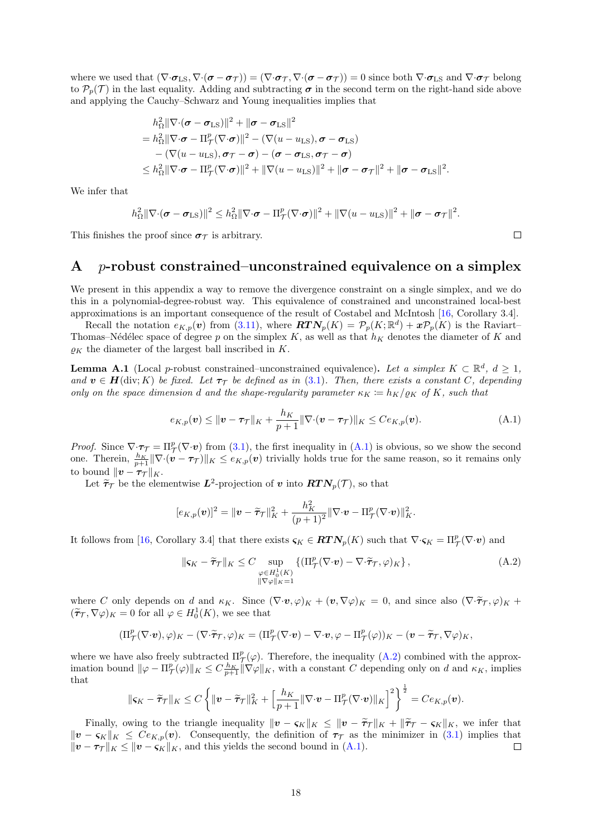where we used that  $(\nabla \cdot \boldsymbol{\sigma}_{\text{LS}}, \nabla \cdot (\boldsymbol{\sigma} - \boldsymbol{\sigma}_{\mathcal{T}})) = (\nabla \cdot \boldsymbol{\sigma}_{\mathcal{T}}, \nabla \cdot (\boldsymbol{\sigma} - \boldsymbol{\sigma}_{\mathcal{T}})) = 0$  since both  $\nabla \cdot \boldsymbol{\sigma}_{\text{LS}}$  and  $\nabla \cdot \boldsymbol{\sigma}_{\mathcal{T}}$  belong to  $\mathcal{P}_p(\mathcal{T})$  in the last equality. Adding and subtracting  $\sigma$  in the second term on the right-hand side above and applying the Cauchy–Schwarz and Young inequalities implies that

$$
h_{\Omega}^{2} \|\nabla \cdot (\boldsymbol{\sigma} - \boldsymbol{\sigma}_{\mathrm{LS}})\|^{2} + \|\boldsymbol{\sigma} - \boldsymbol{\sigma}_{\mathrm{LS}}\|^{2}
$$
  
=  $h_{\Omega}^{2} \|\nabla \cdot \boldsymbol{\sigma} - \Pi_{\mathcal{T}}^{p} (\nabla \cdot \boldsymbol{\sigma})\|^{2} - (\nabla (u - u_{\mathrm{LS}}), \boldsymbol{\sigma} - \boldsymbol{\sigma}_{\mathrm{LS}})$   

$$
- (\nabla (u - u_{\mathrm{LS}}), \boldsymbol{\sigma}_{\mathcal{T}} - \boldsymbol{\sigma}) - (\boldsymbol{\sigma} - \boldsymbol{\sigma}_{\mathrm{LS}}, \boldsymbol{\sigma}_{\mathcal{T}} - \boldsymbol{\sigma})
$$
  

$$
\leq h_{\Omega}^{2} \|\nabla \cdot \boldsymbol{\sigma} - \Pi_{\mathcal{T}}^{p} (\nabla \cdot \boldsymbol{\sigma})\|^{2} + \|\nabla (u - u_{\mathrm{LS}})\|^{2} + \|\boldsymbol{\sigma} - \boldsymbol{\sigma}_{\mathcal{T}}\|^{2} + \|\boldsymbol{\sigma} - \boldsymbol{\sigma}_{\mathrm{LS}}\|^{2}.
$$

We infer that

$$
h_{\Omega}^2 \|\nabla \cdot (\boldsymbol{\sigma} - \boldsymbol{\sigma}_{\text{LS}})\|^2 \leq h_{\Omega}^2 \|\nabla \cdot \boldsymbol{\sigma} - \Pi_{\mathcal{T}}^p (\nabla \cdot \boldsymbol{\sigma})\|^2 + \|\nabla (u - u_{\text{LS}})\|^2 + \|\boldsymbol{\sigma} - \boldsymbol{\sigma}_{\mathcal{T}}\|^2.
$$

This finishes the proof since  $\sigma_{\mathcal{T}}$  is arbitrary.

### <span id="page-18-0"></span>A p-robust constrained–unconstrained equivalence on a simplex

We present in this appendix a way to remove the divergence constraint on a single simplex, and we do this in a polynomial-degree-robust way. This equivalence of constrained and unconstrained local-best approximations is an important consequence of the result of Costabel and McIntosh [\[16,](#page-19-14) Corollary 3.4].

Recall the notation  $e_{K,p}(v)$  from [\(3.11\)](#page-7-2), where  $\mathbf{RTN}_p(K) = \mathcal{P}_p(K;\mathbb{R}^d) + \mathbf{z}\mathcal{P}_p(K)$  is the Raviart-Thomas–Nédélec space of degree p on the simplex K, as well as that  $h<sub>K</sub>$  denotes the diameter of K and  $\rho_K$  the diameter of the largest ball inscribed in K.

<span id="page-18-1"></span>**Lemma A.1** (Local p-robust constrained–unconstrained equivalence). Let a simplex  $K \subset \mathbb{R}^d$ ,  $d \geq 1$ , and  $v \in H(\text{div}; K)$  be fixed. Let  $\tau_{\mathcal{T}}$  be defined as in [\(3.1\)](#page-5-4). Then, there exists a constant C, depending only on the space dimension d and the shape-regularity parameter  $\kappa_K \coloneqq h_K/\varrho_K$  of K, such that

$$
e_{K,p}(\boldsymbol{v}) \leq \|\boldsymbol{v} - \boldsymbol{\tau}_{\mathcal{T}}\|_{K} + \frac{h_K}{p+1} \|\nabla \cdot (\boldsymbol{v} - \boldsymbol{\tau}_{\mathcal{T}})\|_{K} \leq Ce_{K,p}(\boldsymbol{v}). \tag{A.1}
$$

*Proof.* Since  $\nabla \cdot \tau = \Pi^p_\mathcal{T}(\nabla \cdot \mathbf{v})$  from [\(3.1\)](#page-5-4), the first inequality in [\(A.1\)](#page-18-2) is obvious, so we show the second one. Therein,  $\frac{h_K}{p+1} \|\nabla \cdot (\boldsymbol{v} - \boldsymbol{\tau})\|_K \leq e_{K,p}(\boldsymbol{v})$  trivially holds true for the same reason, so it remains only to bound  $\|\boldsymbol{v} - \boldsymbol{\tau}_{\mathcal{T}}\|_{K}$ .

Let  $\widetilde{\tau}_{\mathcal{T}}$  be the elementwise  $L^2$ -projection of v into  $RTN_p(\mathcal{T})$ , so that

$$
[e_{K,p}(\boldsymbol{v})]^2 = \|\boldsymbol{v} - \widetilde{\boldsymbol{\tau}}_{\mathcal{T}}\|_K^2 + \frac{h_K^2}{(p+1)^2} \|\nabla \cdot \boldsymbol{v} - \Pi_{\mathcal{T}}^p (\nabla \cdot \boldsymbol{v})\|_K^2.
$$

It follows from [\[16,](#page-19-14) Corollary 3.4] that there exists  $\varsigma_K \in \mathbf{RTN}_p(K)$  such that  $\nabla \cdot \varsigma_K = \Pi^p_{\mathcal{T}}(\nabla \cdot \boldsymbol{v})$  and

<span id="page-18-3"></span>
$$
\|\varsigma_K - \widetilde{\tau}_{\mathcal{T}}\|_K \le C \sup_{\substack{\varphi \in H_0^1(K) \\ \|\nabla \varphi\|_K = 1}} \left\{ \left(\Pi_{\mathcal{T}}^p(\nabla \cdot \boldsymbol{v}) - \nabla \cdot \widetilde{\tau}_{\mathcal{T}}, \varphi\right)_K \right\},\tag{A.2}
$$

where C only depends on d and  $\kappa_K$ . Since  $(\nabla \cdot \mathbf{v}, \varphi)_K + (\mathbf{v}, \nabla \varphi)_K = 0$ , and since also  $(\nabla \cdot \tilde{\tau}_T, \varphi)_K +$  $(\tilde{\tau}_{\mathcal{T}}, \nabla \varphi)_K = 0$  for all  $\varphi \in H_0^1(K)$ , we see that

$$
(\Pi^p_{\mathcal{T}}(\nabla \cdot \boldsymbol{v}), \varphi)_K - (\nabla \cdot \widetilde{\boldsymbol{\tau}}_{\mathcal{T}}, \varphi)_K = (\Pi^p_{\mathcal{T}}(\nabla \cdot \boldsymbol{v}) - \nabla \cdot \boldsymbol{v}, \varphi - \Pi^p_{\mathcal{T}}(\varphi))_K - (\boldsymbol{v} - \widetilde{\boldsymbol{\tau}}_{\mathcal{T}}, \nabla \varphi)_K,
$$

where we have also freely subtracted  $\Pi_{\tau}^{p}(\varphi)$ . Therefore, the inequality [\(A.2\)](#page-18-3) combined with the approximation bound  $\|\varphi - \Pi_{\mathcal{T}}^p(\varphi)\|_K \leq C \frac{h_K}{p+1} \|\nabla \varphi\|_K$ , with a constant C depending only on d and  $\kappa_K$ , implies that

$$
\|\mathbf{s}_{K}-\widetilde{\boldsymbol{\tau}}_{\mathcal{T}}\|_{K}\leq C\left\{\|\mathbf{v}-\widetilde{\boldsymbol{\tau}}_{\mathcal{T}}\|_{K}^{2}+\left[\frac{h_{K}}{p+1}\|\nabla\cdot\mathbf{v}-\Pi_{\mathcal{T}}^{p}(\nabla\cdot\mathbf{v})\|_{K}\right]^{2}\right\}^{\frac{1}{2}}=Ce_{K,p}(\mathbf{v}).
$$

Finally, owing to the triangle inequality  $\|\mathbf{v} - \mathbf{s}_K\|_K \leq \|\mathbf{v} - \tilde{\tau}_{\tau}\|_K + \|\tilde{\tau}_{\tau} - \mathbf{s}_K\|_K$ , we infer that  $||v - \zeta_K||_K \leq Ce_{K,p}(v)$ . Consequently, the definition of  $\tau_T$  as the minimizer in [\(3.1\)](#page-5-4) implies that  $||\boldsymbol{v} - \boldsymbol{\tau}_{\mathcal{T}}||_K \le ||\boldsymbol{v} - \boldsymbol{\zeta}_K||_K$ , and this yields the second bound in [\(A.1\)](#page-18-2).  $\Box$ 

<span id="page-18-2"></span>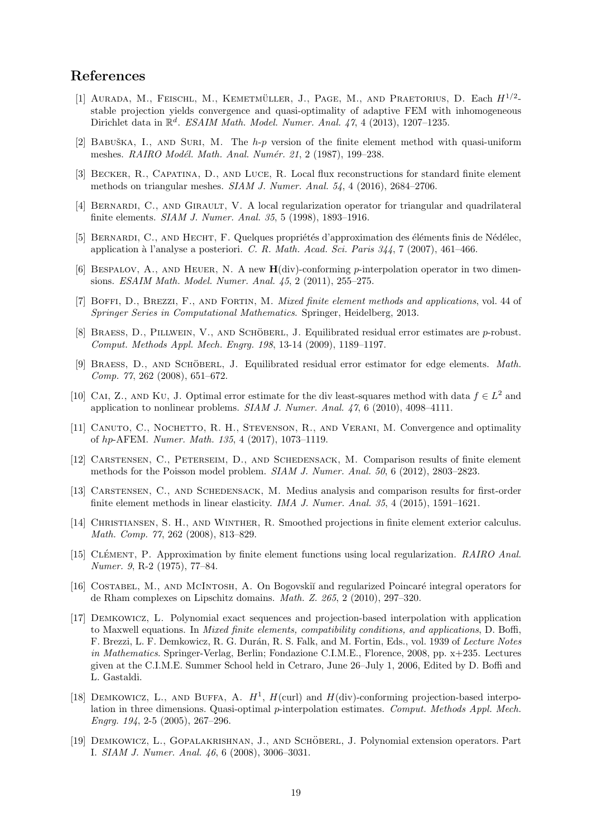### References

- <span id="page-19-9"></span>[1] AURADA, M., FEISCHL, M., KEMETMÜLLER, J., PAGE, M., AND PRAETORIUS, D. Each  $H^{1/2}$ stable projection yields convergence and quasi-optimality of adaptive FEM with inhomogeneous Dirichlet data in  $\mathbb{R}^d$ . ESAIM Math. Model. Numer. Anal. 47, 4 (2013), 1207-1235.
- <span id="page-19-16"></span>[2] BABUŠKA, I., AND SURI, M. The  $h-p$  version of the finite element method with quasi-uniform meshes. RAIRO Modél. Math. Anal. Numér. 21, 2 (1987), 199-238.
- <span id="page-19-13"></span>[3] Becker, R., Capatina, D., and Luce, R. Local flux reconstructions for standard finite element methods on triangular meshes. SIAM J. Numer. Anal. 54, 4 (2016), 2684–2706.
- <span id="page-19-5"></span>[4] BERNARDI, C., AND GIRAULT, V. A local regularization operator for triangular and quadrilateral finite elements. SIAM J. Numer. Anal. 35, 5 (1998), 1893–1916.
- <span id="page-19-6"></span>[5] BERNARDI, C., AND HECHT, F. Quelques propriétés d'approximation des éléments finis de Nédélec, application à l'analyse a posteriori. C. R. Math. Acad. Sci. Paris  $344$ , 7 (2007), 461–466.
- <span id="page-19-3"></span>[6] BESPALOV, A., AND HEUER, N. A new  $H$ (div)-conforming p-interpolation operator in two dimensions. ESAIM Math. Model. Numer. Anal. 45, 2 (2011), 255–275.
- <span id="page-19-17"></span>[7] BOFFI, D., BREZZI, F., AND FORTIN, M. Mixed finite element methods and applications, vol. 44 of Springer Series in Computational Mathematics. Springer, Heidelberg, 2013.
- <span id="page-19-15"></span>[8] BRAESS, D., PILLWEIN, V., AND SCHÖBERL, J. Equilibrated residual error estimates are  $p$ -robust. Comput. Methods Appl. Mech. Engrg. 198, 13-14 (2009), 1189–1197.
- <span id="page-19-12"></span>[9] BRAESS, D., AND SCHÖBERL, J. Equilibrated residual error estimator for edge elements. Math. Comp. 77, 262 (2008), 651–672.
- <span id="page-19-18"></span>[10] CAI, Z., AND KU, J. Optimal error estimate for the div least-squares method with data  $f \in L^2$  and application to nonlinear problems. SIAM J. Numer. Anal. 47, 6 (2010), 4098–4111.
- <span id="page-19-10"></span>[11] CANUTO, C., NOCHETTO, R. H., STEVENSON, R., AND VERANI, M. Convergence and optimality of hp-AFEM. Numer. Math. 135, 4 (2017), 1073–1119.
- <span id="page-19-8"></span>[12] Carstensen, C., Peterseim, D., and Schedensack, M. Comparison results of finite element methods for the Poisson model problem. SIAM J. Numer. Anal. 50, 6 (2012), 2803–2823.
- <span id="page-19-11"></span>[13] CARSTENSEN, C., AND SCHEDENSACK, M. Medius analysis and comparison results for first-order finite element methods in linear elasticity. IMA J. Numer. Anal. 35, 4 (2015), 1591–1621.
- <span id="page-19-7"></span>[14] Christiansen, S. H., and Winther, R. Smoothed projections in finite element exterior calculus. Math. Comp. 77, 262 (2008), 813–829.
- <span id="page-19-4"></span>[15] CLÉMENT, P. Approximation by finite element functions using local regularization. RAIRO Anal. Numer. 9, R-2 (1975), 77–84.
- <span id="page-19-14"></span>[16] COSTABEL, M., AND MCINTOSH, A. On Bogovskiı̆ and regularized Poincaré integral operators for de Rham complexes on Lipschitz domains. Math. Z. 265, 2 (2010), 297–320.
- <span id="page-19-1"></span>[17] Demkowicz, L. Polynomial exact sequences and projection-based interpolation with application to Maxwell equations. In Mixed finite elements, compatibility conditions, and applications, D. Boffi, F. Brezzi, L. F. Demkowicz, R. G. Durán, R. S. Falk, and M. Fortin, Eds., vol. 1939 of Lecture Notes in Mathematics. Springer-Verlag, Berlin; Fondazione C.I.M.E., Florence, 2008, pp. x+235. Lectures given at the C.I.M.E. Summer School held in Cetraro, June 26–July 1, 2006, Edited by D. Boffi and L. Gastaldi.
- <span id="page-19-0"></span>[18] DEMKOWICZ, L., AND BUFFA, A.  $H^1$ ,  $H$ (curl) and  $H$ (div)-conforming projection-based interpolation in three dimensions. Quasi-optimal  $p$ -interpolation estimates. Comput. Methods Appl. Mech. Engrg. 194, 2-5 (2005), 267–296.
- <span id="page-19-2"></span>[19] DEMKOWICZ, L., GOPALAKRISHNAN, J., AND SCHÖBERL, J. Polynomial extension operators. Part I. SIAM J. Numer. Anal. 46, 6 (2008), 3006–3031.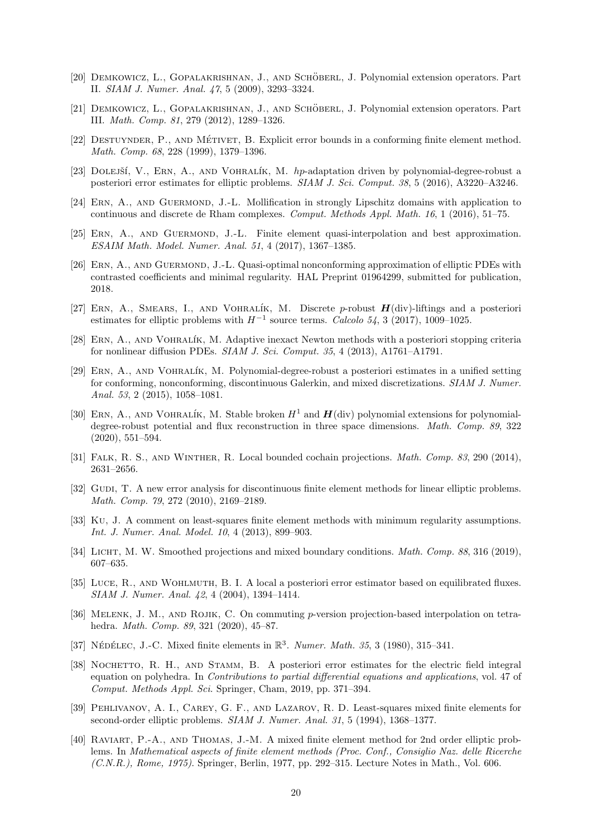- <span id="page-20-0"></span>[20] DEMKOWICZ, L., GOPALAKRISHNAN, J., AND SCHOBERL, J. Polynomial extension operators. Part II. SIAM J. Numer. Anal. 47, 5 (2009), 3293–3324.
- <span id="page-20-1"></span>[21] DEMKOWICZ, L., GOPALAKRISHNAN, J., AND SCHÖBERL, J. Polynomial extension operators. Part III. Math. Comp. 81, 279 (2012), 1289–1326.
- <span id="page-20-10"></span>[22] DESTUYNDER, P., AND MÉTIVET, B. Explicit error bounds in a conforming finite element method. Math. Comp. 68, 228 (1999), 1379–1396.
- <span id="page-20-14"></span>[23] DOLEJŠÍ, V., ERN, A., AND VOHRALÍK, M. hp-adaptation driven by polynomial-degree-robust a posteriori error estimates for elliptic problems. SIAM J. Sci. Comput. 38, 5 (2016), A3220–A3246.
- <span id="page-20-6"></span>[24] ERN, A., AND GUERMOND, J.-L. Mollification in strongly Lipschitz domains with application to continuous and discrete de Rham complexes. Comput. Methods Appl. Math. 16, 1 (2016), 51–75.
- <span id="page-20-5"></span>[25] Ern, A., and Guermond, J.-L. Finite element quasi-interpolation and best approximation. ESAIM Math. Model. Numer. Anal. 51, 4 (2017), 1367–1385.
- <span id="page-20-2"></span>[26] ERN, A., AND GUERMOND, J.-L. Quasi-optimal nonconforming approximation of elliptic PDEs with contrasted coefficients and minimal regularity. HAL Preprint 01964299, submitted for publication, 2018.
- <span id="page-20-15"></span>[27] ERN, A., SMEARS, I., AND VOHRALÍK, M. Discrete p-robust  $H(\text{div})$ -liftings and a posteriori estimates for elliptic problems with  $H^{-1}$  source terms. Calcolo 54, 3 (2017), 1009–1025.
- <span id="page-20-12"></span>[28] Ern, A., and Vohral´ık, M. Adaptive inexact Newton methods with a posteriori stopping criteria for nonlinear diffusion PDEs. SIAM J. Sci. Comput. 35, 4 (2013), A1761–A1791.
- <span id="page-20-13"></span>[29] Ern, A., and Vohral´ık, M. Polynomial-degree-robust a posteriori estimates in a unified setting for conforming, nonconforming, discontinuous Galerkin, and mixed discretizations. SIAM J. Numer. Anal. 53, 2 (2015), 1058–1081.
- <span id="page-20-16"></span>[30] ERN, A., AND VOHRALÍK, M. Stable broken  $H^1$  and  $H(\text{div})$  polynomial extensions for polynomialdegree-robust potential and flux reconstruction in three space dimensions. *Math. Comp. 89*, 322 (2020), 551–594.
- <span id="page-20-8"></span>[31] Falk, R. S., and Winther, R. Local bounded cochain projections. Math. Comp. 83, 290 (2014), 2631–2656.
- <span id="page-20-9"></span>[32] GUDI, T. A new error analysis for discontinuous finite element methods for linear elliptic problems. Math. Comp. 79, 272 (2010), 2169–2189.
- <span id="page-20-20"></span>[33] Ku, J. A comment on least-squares finite element methods with minimum regularity assumptions. Int. J. Numer. Anal. Model. 10, 4 (2013), 899–903.
- <span id="page-20-7"></span>[34] LICHT, M. W. Smoothed projections and mixed boundary conditions. *Math. Comp. 88*, 316 (2019), 607–635.
- <span id="page-20-11"></span>[35] Luce, R., and Wohlmuth, B. I. A local a posteriori error estimator based on equilibrated fluxes. SIAM J. Numer. Anal. 42, 4 (2004), 1394–1414.
- <span id="page-20-3"></span>[36] MELENK, J. M., AND ROJIK, C. On commuting p-version projection-based interpolation on tetrahedra. Math. Comp. 89, 321 (2020), 45–87.
- <span id="page-20-18"></span>[37] NÉDÉLEC, J.-C. Mixed finite elements in  $\mathbb{R}^3$ . Numer. Math. 35, 3 (1980), 315-341.
- <span id="page-20-4"></span>[38] NOCHETTO, R. H., AND STAMM, B. A posteriori error estimates for the electric field integral equation on polyhedra. In *Contributions to partial differential equations and applications*, vol. 47 of Comput. Methods Appl. Sci. Springer, Cham, 2019, pp. 371–394.
- <span id="page-20-19"></span>[39] PEHLIVANOV, A. I., CAREY, G. F., AND LAZAROV, R. D. Least-squares mixed finite elements for second-order elliptic problems. SIAM J. Numer. Anal. 31, 5 (1994), 1368–1377.
- <span id="page-20-17"></span>[40] Raviart, P.-A., and Thomas, J.-M. A mixed finite element method for 2nd order elliptic problems. In Mathematical aspects of finite element methods (Proc. Conf., Consiglio Naz. delle Ricerche (C.N.R.), Rome, 1975). Springer, Berlin, 1977, pp. 292–315. Lecture Notes in Math., Vol. 606.